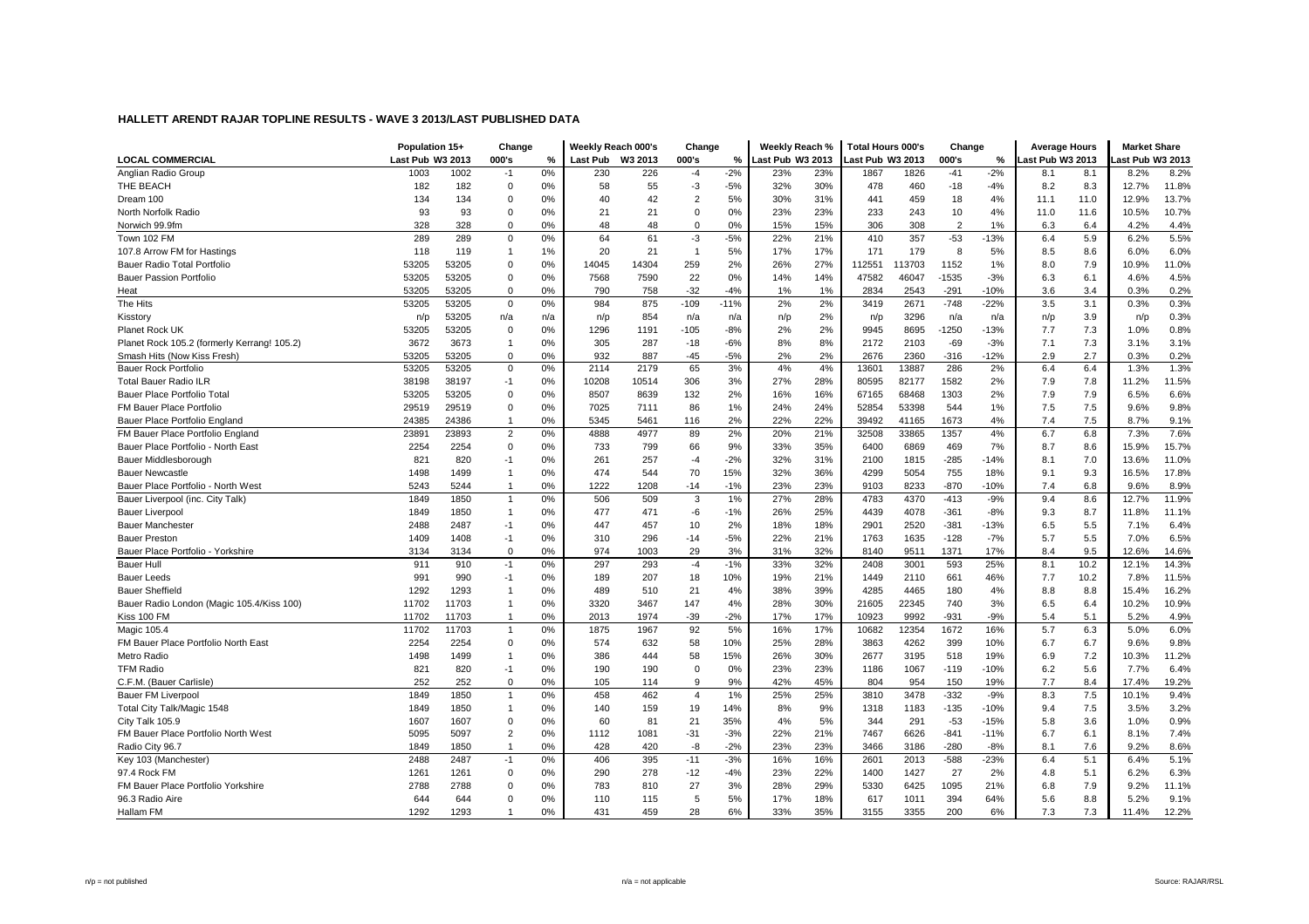|                                             | Population 15+   |       | Change         |     | Weekly Reach 000's |         | Change         |        | Weekly Reach %   |     | <b>Total Hours 000's</b> |        | Change         |        | <b>Average Hours</b> |      | <b>Market Share</b> |       |
|---------------------------------------------|------------------|-------|----------------|-----|--------------------|---------|----------------|--------|------------------|-----|--------------------------|--------|----------------|--------|----------------------|------|---------------------|-------|
| <b>LOCAL COMMERCIAL</b>                     | Last Pub W3 2013 |       | 000's          | %   | <b>Last Pub</b>    | W3 2013 | 000's          | %      | Last Pub W3 2013 |     | Last Pub W3 2013         |        | 000's          | %      | ast Pub W3 2013      |      | ast Pub W3 2013     |       |
| Anglian Radio Group                         | 1003             | 1002  | $-1$           | 0%  | 230                | 226     | $-4$           | $-2%$  | 23%              | 23% | 1867                     | 1826   | $-41$          | $-2%$  | 8.1                  | 8.1  | 8.2%                | 8.2%  |
| THE BEACH                                   | 182              | 182   | 0              | 0%  | 58                 | 55      | $-3$           | $-5%$  | 32%              | 30% | 478                      | 460    | $-18$          | $-4%$  | 8.2                  | 8.3  | 12.7%               | 11.8% |
| Dream 100                                   | 134              | 134   | $\Omega$       | 0%  | 40                 | 42      | $\overline{2}$ | 5%     | 30%              | 31% | 441                      | 459    | 18             | 4%     | 11.1                 | 11.0 | 12.9%               | 13.7% |
| North Norfolk Radio                         | 93               | 93    | 0              | 0%  | 21                 | 21      | 0              | 0%     | 23%              | 23% | 233                      | 243    | 10             | 4%     | 11.0                 | 11.6 | 10.5%               | 10.7% |
| Norwich 99.9fm                              | 328              | 328   | $\Omega$       | 0%  | 48                 | 48      | $\Omega$       | 0%     | 15%              | 15% | 306                      | 308    | $\overline{2}$ | 1%     | 6.3                  | 6.4  | 4.2%                | 4.4%  |
| Town 102 FM                                 | 289              | 289   | $\mathbf 0$    | 0%  | 64                 | 61      | $-3$           | $-5%$  | 22%              | 21% | 410                      | 357    | $-53$          | $-13%$ | 6.4                  | 5.9  | 6.2%                | 5.5%  |
| 107.8 Arrow FM for Hastings                 | 118              | 119   | -1             | 1%  | 20                 | 21      | $\overline{1}$ | 5%     | 17%              | 17% | 171                      | 179    | 8              | 5%     | 8.5                  | 8.6  | 6.0%                | 6.0%  |
| Bauer Radio Total Portfolio                 | 53205            | 53205 | $\mathbf 0$    | 0%  | 14045              | 14304   | 259            | 2%     | 26%              | 27% | 112551                   | 113703 | 1152           | 1%     | 8.0                  | 7.9  | 10.9%               | 11.0% |
| <b>Bauer Passion Portfolio</b>              | 53205            | 53205 | $\Omega$       | 0%  | 7568               | 7590    | 22             | 0%     | 14%              | 14% | 47582                    | 46047  | $-1535$        | $-3%$  | 6.3                  | 6.1  | 4.6%                | 4.5%  |
| Heat                                        | 53205            | 53205 | $\mathbf 0$    | 0%  | 790                | 758     | $-32$          | $-4%$  | 1%               | 1%  | 2834                     | 2543   | $-291$         | $-10%$ | 3.6                  | 3.4  | 0.3%                | 0.2%  |
| The Hits                                    | 53205            | 53205 | $\mathbf 0$    | 0%  | 984                | 875     | $-109$         | $-11%$ | 2%               | 2%  | 3419                     | 2671   | $-748$         | $-22%$ | 3.5                  | 3.1  | 0.3%                | 0.3%  |
| Kisstory                                    | n/p              | 53205 | n/a            | n/a | n/p                | 854     | n/a            | n/a    | n/p              | 2%  | n/p                      | 3296   | n/a            | n/a    | n/p                  | 3.9  | n/p                 | 0.3%  |
| Planet Rock UK                              | 53205            | 53205 | $\mathbf 0$    | 0%  | 1296               | 1191    | -105           | $-8%$  | 2%               | 2%  | 9945                     | 8695   | $-1250$        | $-13%$ | 7.7                  | 7.3  | 1.0%                | 0.8%  |
| Planet Rock 105.2 (formerly Kerrang! 105.2) | 3672             | 3673  | $\overline{1}$ | 0%  | 305                | 287     | $-18$          | $-6%$  | 8%               | 8%  | 2172                     | 2103   | $-69$          | $-3%$  | 7.1                  | 7.3  | 3.1%                | 3.1%  |
| Smash Hits (Now Kiss Fresh)                 | 53205            | 53205 | $\mathbf 0$    | 0%  | 932                | 887     | -45            | $-5%$  | 2%               | 2%  | 2676                     | 2360   | $-316$         | $-12%$ | 2.9                  | 2.7  | 0.3%                | 0.2%  |
| <b>Bauer Rock Portfolio</b>                 | 53205            | 53205 | $\mathbf 0$    | 0%  | 2114               | 2179    | 65             | 3%     | 4%               | 4%  | 13601                    | 13887  | 286            | 2%     | 6.4                  | 6.4  | 1.3%                | 1.3%  |
| <b>Total Bauer Radio ILR</b>                | 38198            | 38197 | $-1$           | 0%  | 10208              | 10514   | 306            | 3%     | 27%              | 28% | 80595                    | 82177  | 1582           | 2%     | 7.9                  | 7.8  | 11.2%               | 11.5% |
| Bauer Place Portfolio Total                 | 53205            | 53205 | $\mathbf 0$    | 0%  | 8507               | 8639    | 132            | 2%     | 16%              | 16% | 67165                    | 68468  | 1303           | 2%     | 7.9                  | 7.9  | 6.5%                | 6.6%  |
| FM Bauer Place Portfolio                    | 29519            | 29519 | $\mathbf 0$    | 0%  | 7025               | 7111    | 86             | 1%     | 24%              | 24% | 52854                    | 53398  | 544            | 1%     | 7.5                  | 7.5  | 9.6%                | 9.8%  |
| Bauer Place Portfolio England               | 24385            | 24386 | -1             | 0%  | 5345               | 5461    | 116            | 2%     | 22%              | 22% | 39492                    | 41165  | 1673           | 4%     | 7.4                  | 7.5  | 8.7%                | 9.1%  |
| FM Bauer Place Portfolio England            | 23891            | 23893 | $\overline{2}$ | 0%  | 4888               | 4977    | 89             | 2%     | 20%              | 21% | 32508                    | 33865  | 1357           | 4%     | 6.7                  | 6.8  | 7.3%                | 7.6%  |
| Bauer Place Portfolio - North East          | 2254             | 2254  | $\mathbf 0$    | 0%  | 733                | 799     | 66             | 9%     | 33%              | 35% | 6400                     | 6869   | 469            | 7%     | 8.7                  | 8.6  | 15.9%               | 15.7% |
| Bauer Middlesborough                        | 821              | 820   | $-1$           | 0%  | 261                | 257     | $-4$           | $-2%$  | 32%              | 31% | 2100                     | 1815   | $-285$         | $-14%$ | 8.1                  | 7.0  | 13.6%               | 11.0% |
| <b>Bauer Newcastle</b>                      | 1498             | 1499  | $\overline{1}$ | 0%  | 474                | 544     | 70             | 15%    | 32%              | 36% | 4299                     | 5054   | 755            | 18%    | 9.1                  | 9.3  | 16.5%               | 17.8% |
| Bauer Place Portfolio - North West          | 5243             | 5244  | $\overline{1}$ | 0%  | 1222               | 1208    | $-14$          | $-1%$  | 23%              | 23% | 9103                     | 8233   | $-870$         | $-10%$ | 7.4                  | 6.8  | 9.6%                | 8.9%  |
| Bauer Liverpool (inc. City Talk)            | 1849             | 1850  | $\overline{1}$ | 0%  | 506                | 509     | 3              | 1%     | 27%              | 28% | 4783                     | 4370   | $-413$         | $-9%$  | 9.4                  | 8.6  | 12.7%               | 11.9% |
| <b>Bauer Liverpool</b>                      | 1849             | 1850  | $\overline{1}$ | 0%  | 477                | 471     | -6             | $-1%$  | 26%              | 25% | 4439                     | 4078   | $-361$         | $-8%$  | 9.3                  | 8.7  | 11.8%               | 11.1% |
| <b>Bauer Manchester</b>                     | 2488             | 2487  | $-1$           | 0%  | 447                | 457     | 10             | 2%     | 18%              | 18% | 2901                     | 2520   | $-381$         | $-13%$ | 6.5                  | 5.5  | 7.1%                | 6.4%  |
| <b>Bauer Preston</b>                        | 1409             | 1408  | $-1$           | 0%  | 310                | 296     | $-14$          | $-5%$  | 22%              | 21% | 1763                     | 1635   | $-128$         | $-7%$  | 5.7                  | 5.5  | 7.0%                | 6.5%  |
| Bauer Place Portfolio - Yorkshire           | 3134             | 3134  | $\mathbf 0$    | 0%  | 974                | 1003    | 29             | 3%     | 31%              | 32% | 8140                     | 9511   | 1371           | 17%    | 8.4                  | 9.5  | 12.6%               | 14.6% |
| <b>Bauer Hull</b>                           | 911              | 910   | $-1$           | 0%  | 297                | 293     | $-4$           | $-1%$  | 33%              | 32% | 2408                     | 3001   | 593            | 25%    | 8.1                  | 10.2 | 12.1%               | 14.3% |
| <b>Bauer Leeds</b>                          | 991              | 990   | $-1$           | 0%  | 189                | 207     | 18             | 10%    | 19%              | 21% | 1449                     | 2110   | 661            | 46%    | 7.7                  | 10.2 | 7.8%                | 11.5% |
| <b>Bauer Sheffield</b>                      | 1292             | 1293  | $\overline{1}$ | 0%  | 489                | 510     | 21             | 4%     | 38%              | 39% | 4285                     | 4465   | 180            | 4%     | 8.8                  | 8.8  | 15.4%               | 16.2% |
| Bauer Radio London (Magic 105.4/Kiss 100)   | 11702            | 11703 | $\overline{1}$ | 0%  | 3320               | 3467    | 147            | 4%     | 28%              | 30% | 21605                    | 22345  | 740            | 3%     | 6.5                  | 6.4  | 10.2%               | 10.9% |
| Kiss 100 FM                                 | 11702            | 11703 | -1             | 0%  | 2013               | 1974    | $-39$          | $-2%$  | 17%              | 17% | 10923                    | 9992   | $-931$         | $-9%$  | 5.4                  | 5.1  | 5.2%                | 4.9%  |
| Magic 105.4                                 | 11702            | 11703 | $\overline{1}$ | 0%  | 1875               | 1967    | 92             | 5%     | 16%              | 17% | 10682                    | 12354  | 1672           | 16%    | 5.7                  | 6.3  | 5.0%                | 6.0%  |
| FM Bauer Place Portfolio North East         | 2254             | 2254  | $\mathbf 0$    | 0%  | 574                | 632     | 58             | 10%    | 25%              | 28% | 3863                     | 4262   | 399            | 10%    | 6.7                  | 6.7  | 9.6%                | 9.8%  |
| Metro Radio                                 | 1498             | 1499  |                | 0%  | 386                | 444     | 58             | 15%    | 26%              | 30% | 2677                     | 3195   | 518            | 19%    | 6.9                  | 7.2  | 10.3%               | 11.2% |
| <b>TFM Radio</b>                            | 821              | 820   | $-1$           | 0%  | 190                | 190     | $\mathbf 0$    | 0%     | 23%              | 23% | 1186                     | 1067   | $-119$         | $-10%$ | 6.2                  | 5.6  | 7.7%                | 6.4%  |
| C.F.M. (Bauer Carlisle)                     | 252              | 252   | $\mathbf 0$    | 0%  | 105                | 114     | 9              | 9%     | 42%              | 45% | 804                      | 954    | 150            | 19%    | 7.7                  | 8.4  | 17.4%               | 19.2% |
| Bauer FM Liverpool                          | 1849             | 1850  | $\overline{1}$ | 0%  | 458                | 462     | $\overline{4}$ | 1%     | 25%              | 25% | 3810                     | 3478   | $-332$         | $-9%$  | 8.3                  | 7.5  | 10.1%               | 9.4%  |
| Total City Talk/Magic 1548                  | 1849             | 1850  | -1             | 0%  | 140                | 159     | 19             | 14%    | 8%               | 9%  | 1318                     | 1183   | $-135$         | $-10%$ | 9.4                  | 7.5  | 3.5%                | 3.2%  |
| City Talk 105.9                             | 1607             | 1607  | $\mathbf 0$    | 0%  | 60                 | 81      | 21             | 35%    | 4%               | 5%  | 344                      | 291    | $-53$          | $-15%$ | 5.8                  | 3.6  | 1.0%                | 0.9%  |
| FM Bauer Place Portfolio North West         | 5095             | 5097  | $\overline{2}$ | 0%  | 1112               | 1081    | $-31$          | $-3%$  | 22%              | 21% | 7467                     | 6626   | $-841$         | $-11%$ | 6.7                  | 6.1  | 8.1%                | 7.4%  |
| Radio City 96.7                             | 1849             | 1850  | $\overline{1}$ | 0%  | 428                | 420     | -8             | $-2%$  | 23%              | 23% | 3466                     | 3186   | $-280$         | $-8%$  | 8.1                  | 7.6  | 9.2%                | 8.6%  |
| Key 103 (Manchester)                        | 2488             | 2487  | $-1$           | 0%  | 406                | 395     | $-11$          | $-3%$  | 16%              | 16% | 2601                     | 2013   | $-588$         | $-23%$ | 6.4                  | 5.1  | 6.4%                | 5.1%  |
| 97.4 Rock FM                                | 1261             | 1261  | $\mathbf 0$    | 0%  | 290                | 278     | $-12$          | $-4%$  | 23%              | 22% | 1400                     | 1427   | 27             | 2%     | 4.8                  | 5.1  | 6.2%                | 6.3%  |
| FM Bauer Place Portfolio Yorkshire          | 2788             | 2788  | $\mathbf 0$    | 0%  | 783                | 810     | 27             | 3%     | 28%              | 29% | 5330                     | 6425   | 1095           | 21%    | 6.8                  | 7.9  | 9.2%                | 11.1% |
| 96.3 Radio Aire                             | 644              | 644   | $\Omega$       | 0%  | 110                | 115     | 5              | 5%     | 17%              | 18% | 617                      | 1011   | 394            | 64%    | 5.6                  | 8.8  | 5.2%                | 9.1%  |
| Hallam FM                                   | 1292             | 1293  |                | 0%  | 431                | 459     | 28             | 6%     | 33%              | 35% | 3155                     | 3355   | 200            | 6%     | 7.3                  | 7.3  | 11.4%               | 12.2% |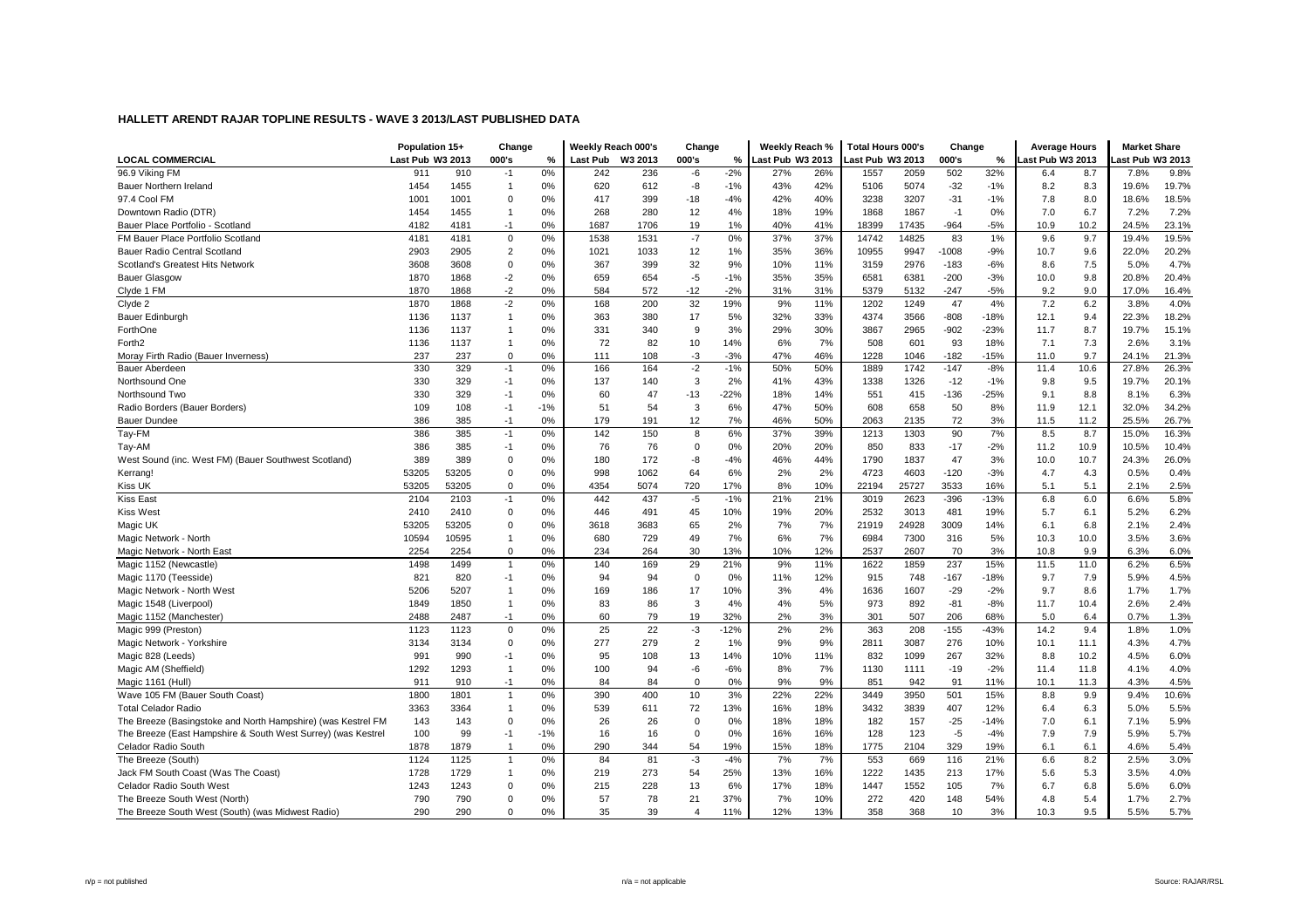|                                                              | Population 15+   |       | Change         |       | Weekly Reach 000's |         | Change                  |        | Weekly Reach %   |     | <b>Total Hours 000's</b> |       | Change  |        | <b>Average Hours</b> |      | <b>Market Share</b> |       |
|--------------------------------------------------------------|------------------|-------|----------------|-------|--------------------|---------|-------------------------|--------|------------------|-----|--------------------------|-------|---------|--------|----------------------|------|---------------------|-------|
| <b>LOCAL COMMERCIAL</b>                                      | Last Pub W3 2013 |       | 000's          | %     | Last Pub           | W3 2013 | 000's                   | ℅      | Last Pub W3 2013 |     | ast Pub W3 2013          |       | 000's   | %      | ast Pub W3 2013      |      | ast Pub W3 2013     |       |
| 96.9 Viking FM                                               | 911              | 910   | $-1$           | 0%    | 242                | 236     | -6                      | $-2%$  | 27%              | 26% | 1557                     | 2059  | 502     | 32%    | 6.4                  | 8.7  | 7.8%                | 9.8%  |
| Bauer Northern Ireland                                       | 1454             | 1455  |                | 0%    | 620                | 612     | -8                      | $-1%$  | 43%              | 42% | 5106                     | 5074  | $-32$   | $-1%$  | 8.2                  | 8.3  | 19.6%               | 19.7% |
| 97.4 Cool FM                                                 | 1001             | 1001  | 0              | 0%    | 417                | 399     | -18                     | $-4%$  | 42%              | 40% | 3238                     | 3207  | $-31$   | $-1%$  | 7.8                  | 8.0  | 18.6%               | 18.5% |
| Downtown Radio (DTR)                                         | 1454             | 1455  | $\overline{1}$ | 0%    | 268                | 280     | 12                      | 4%     | 18%              | 19% | 1868                     | 1867  | $-1$    | 0%     | 7.0                  | 6.7  | 7.2%                | 7.2%  |
| Bauer Place Portfolio - Scotland                             | 4182             | 4181  | $-1$           | 0%    | 1687               | 1706    | 19                      | 1%     | 40%              | 41% | 18399                    | 17435 | $-964$  | $-5%$  | 10.9                 | 10.2 | 24.5%               | 23.1% |
| FM Bauer Place Portfolio Scotland                            | 4181             | 4181  | $\mathbf 0$    | 0%    | 1538               | 1531    | $-7$                    | 0%     | 37%              | 37% | 14742                    | 14825 | 83      | 1%     | 9.6                  | 9.7  | 19.4%               | 19.5% |
| Bauer Radio Central Scotland                                 | 2903             | 2905  | $\overline{2}$ | 0%    | 1021               | 1033    | 12                      | 1%     | 35%              | 36% | 10955                    | 9947  | $-1008$ | $-9%$  | 10.7                 | 9.6  | 22.0%               | 20.2% |
| Scotland's Greatest Hits Network                             | 3608             | 3608  | $\mathbf 0$    | 0%    | 367                | 399     | 32                      | 9%     | 10%              | 11% | 3159                     | 2976  | $-183$  | $-6%$  | 8.6                  | 7.5  | 5.0%                | 4.7%  |
| <b>Bauer Glasgow</b>                                         | 1870             | 1868  | $-2$           | 0%    | 659                | 654     | $-5$                    | $-1%$  | 35%              | 35% | 6581                     | 6381  | $-200$  | $-3%$  | 10.0                 | 9.8  | 20.8%               | 20.4% |
| Clyde 1 FM                                                   | 1870             | 1868  | $-2$           | 0%    | 584                | 572     | $-12$                   | $-2%$  | 31%              | 31% | 5379                     | 5132  | $-247$  | $-5%$  | 9.2                  | 9.0  | 17.0%               | 16.4% |
| Clyde 2                                                      | 1870             | 1868  | $-2$           | 0%    | 168                | 200     | 32                      | 19%    | 9%               | 11% | 1202                     | 1249  | 47      | 4%     | 7.2                  | 6.2  | 3.8%                | 4.0%  |
| Bauer Edinburgh                                              | 1136             | 1137  | $\overline{1}$ | 0%    | 363                | 380     | 17                      | 5%     | 32%              | 33% | 4374                     | 3566  | $-808$  | -18%   | 12.1                 | 9.4  | 22.3%               | 18.2% |
| ForthOne                                                     | 1136             | 1137  | $\overline{1}$ | 0%    | 331                | 340     | 9                       | 3%     | 29%              | 30% | 3867                     | 2965  | $-902$  | $-23%$ | 11.7                 | 8.7  | 19.7%               | 15.1% |
| Forth <sub>2</sub>                                           | 1136             | 1137  | $\overline{1}$ | 0%    | 72                 | 82      | 10                      | 14%    | 6%               | 7%  | 508                      | 601   | 93      | 18%    | 7.1                  | 7.3  | 2.6%                | 3.1%  |
| Moray Firth Radio (Bauer Inverness)                          | 237              | 237   | $\mathbf 0$    | 0%    | 111                | 108     | $-3$                    | $-3%$  | 47%              | 46% | 1228                     | 1046  | $-182$  | $-15%$ | 11.0                 | 9.7  | 24.1%               | 21.3% |
| <b>Bauer Aberdeen</b>                                        | 330              | 329   | $-1$           | 0%    | 166                | 164     | $-2$                    | $-1%$  | 50%              | 50% | 1889                     | 1742  | $-147$  | $-8%$  | 11.4                 | 10.6 | 27.8%               | 26.3% |
| Northsound One                                               | 330              | 329   | $-1$           | 0%    | 137                | 140     | 3                       | 2%     | 41%              | 43% | 1338                     | 1326  | $-12$   | $-1%$  | 9.8                  | 9.5  | 19.7%               | 20.1% |
| Northsound Two                                               | 330              | 329   | $-1$           | 0%    | 60                 | 47      | -13                     | $-22%$ | 18%              | 14% | 551                      | 415   | $-136$  | $-25%$ | 9.1                  | 8.8  | 8.1%                | 6.3%  |
| Radio Borders (Bauer Borders)                                | 109              | 108   | $-1$           | $-1%$ | 51                 | 54      | 3                       | 6%     | 47%              | 50% | 608                      | 658   | 50      | 8%     | 11.9                 | 12.1 | 32.0%               | 34.2% |
| <b>Bauer Dundee</b>                                          | 386              | 385   | $-1$           | 0%    | 179                | 191     | 12                      | 7%     | 46%              | 50% | 2063                     | 2135  | 72      | 3%     | 11.5                 | 11.2 | 25.5%               | 26.7% |
| Tay-FM                                                       | 386              | 385   | $-1$           | 0%    | 142                | 150     | 8                       | 6%     | 37%              | 39% | 1213                     | 1303  | 90      | 7%     | 8.5                  | 8.7  | 15.0%               | 16.3% |
| Tay-AM                                                       | 386              | 385   | $-1$           | 0%    | 76                 | 76      | 0                       | 0%     | 20%              | 20% | 850                      | 833   | $-17$   | $-2%$  | 11.2                 | 10.9 | 10.5%               | 10.4% |
| West Sound (inc. West FM) (Bauer Southwest Scotland)         | 389              | 389   | $\Omega$       | 0%    | 180                | 172     | -8                      | $-4%$  | 46%              | 44% | 1790                     | 1837  | 47      | 3%     | 10.0                 | 10.7 | 24.3%               | 26.0% |
| Kerrang!                                                     | 53205            | 53205 | $\mathbf 0$    | 0%    | 998                | 1062    | 64                      | 6%     | 2%               | 2%  | 4723                     | 4603  | $-120$  | $-3%$  | 4.7                  | 4.3  | 0.5%                | 0.4%  |
| Kiss UK                                                      | 53205            | 53205 | $\mathbf 0$    | 0%    | 4354               | 5074    | 720                     | 17%    | 8%               | 10% | 22194                    | 25727 | 3533    | 16%    | 5.1                  | 5.1  | 2.1%                | 2.5%  |
| Kiss East                                                    | 2104             | 2103  | $-1$           | 0%    | 442                | 437     | -5                      | $-1%$  | 21%              | 21% | 3019                     | 2623  | $-396$  | $-13%$ | 6.8                  | 6.0  | 6.6%                | 5.8%  |
| Kiss West                                                    | 2410             | 2410  | $\mathbf 0$    | 0%    | 446                | 491     | 45                      | 10%    | 19%              | 20% | 2532                     | 3013  | 481     | 19%    | 5.7                  | 6.1  | 5.2%                | 6.2%  |
| Magic UK                                                     | 53205            | 53205 | $\mathbf 0$    | 0%    | 3618               | 3683    | 65                      | 2%     | 7%               | 7%  | 21919                    | 24928 | 3009    | 14%    | 6.1                  | 6.8  | 2.1%                | 2.4%  |
| Magic Network - North                                        | 10594            | 10595 | $\overline{1}$ | 0%    | 680                | 729     | 49                      | 7%     | 6%               | 7%  | 6984                     | 7300  | 316     | 5%     | 10.3                 | 10.0 | 3.5%                | 3.6%  |
| Magic Network - North East                                   | 2254             | 2254  | 0              | 0%    | 234                | 264     | 30                      | 13%    | 10%              | 12% | 2537                     | 2607  | 70      | 3%     | 10.8                 | 9.9  | 6.3%                | 6.0%  |
| Magic 1152 (Newcastle)                                       | 1498             | 1499  | $\overline{1}$ | 0%    | 140                | 169     | 29                      | 21%    | 9%               | 11% | 1622                     | 1859  | 237     | 15%    | 11.5                 | 11.0 | 6.2%                | 6.5%  |
| Magic 1170 (Teesside)                                        | 821              | 820   | $-1$           | 0%    | 94                 | 94      | $\mathbf 0$             | 0%     | 11%              | 12% | 915                      | 748   | $-167$  | $-18%$ | 9.7                  | 7.9  | 5.9%                | 4.5%  |
| Magic Network - North West                                   | 5206             | 5207  | $\overline{1}$ | 0%    | 169                | 186     | 17                      | 10%    | 3%               | 4%  | 1636                     | 1607  | $-29$   | $-2%$  | 9.7                  | 8.6  | 1.7%                | 1.7%  |
| Magic 1548 (Liverpool)                                       | 1849             | 1850  | $\overline{1}$ | 0%    | 83                 | 86      | 3                       | 4%     | 4%               | 5%  | 973                      | 892   | $-81$   | -8%    | 11.7                 | 10.4 | 2.6%                | 2.4%  |
| Magic 1152 (Manchester)                                      | 2488             | 2487  | $-1$           | 0%    | 60                 | 79      | 19                      | 32%    | 2%               | 3%  | 301                      | 507   | 206     | 68%    | 5.0                  | 6.4  | 0.7%                | 1.3%  |
| Magic 999 (Preston)                                          | 1123             | 1123  | $\mathbf 0$    | 0%    | 25                 | 22      | $-3$                    | $-12%$ | 2%               | 2%  | 363                      | 208   | $-155$  | $-43%$ | 14.2                 | 9.4  | 1.8%                | 1.0%  |
| Magic Network - Yorkshire                                    | 3134             | 3134  | $\mathbf 0$    | 0%    | 277                | 279     | $\overline{c}$          | 1%     | 9%               | 9%  | 2811                     | 3087  | 276     | 10%    | 10.1                 | 11.1 | 4.3%                | 4.7%  |
| Magic 828 (Leeds)                                            | 991              | 990   | -1             | 0%    | 95                 | 108     | 13                      | 14%    | 10%              | 11% | 832                      | 1099  | 267     | 32%    | 8.8                  | 10.2 | 4.5%                | 6.0%  |
| Magic AM (Sheffield)                                         | 1292             | 1293  | $\overline{1}$ | 0%    | 100                | 94      | -6                      | $-6%$  | 8%               | 7%  | 1130                     | 1111  | $-19$   | $-2%$  | 11.4                 | 11.8 | 4.1%                | 4.0%  |
| Magic 1161 (Hull)                                            | 911              | 910   | $-1$           | 0%    | 84                 | 84      | $\mathbf 0$             | 0%     | 9%               | 9%  | 851                      | 942   | 91      | 11%    | 10.1                 | 11.3 | 4.3%                | 4.5%  |
| Wave 105 FM (Bauer South Coast)                              | 1800             | 1801  | $\overline{1}$ | 0%    | 390                | 400     | $10$                    | 3%     | 22%              | 22% | 3449                     | 3950  | 501     | 15%    | 8.8                  | 9.9  | 9.4%                | 10.6% |
| <b>Total Celador Radio</b>                                   | 3363             | 3364  | $\overline{1}$ | 0%    | 539                | 611     | 72                      | 13%    | 16%              | 18% | 3432                     | 3839  | 407     | 12%    | 6.4                  | 6.3  | 5.0%                | 5.5%  |
| The Breeze (Basingstoke and North Hampshire) (was Kestrel FM | 143              | 143   | $\Omega$       | 0%    | 26                 | 26      | $\mathbf 0$             | 0%     | 18%              | 18% | 182                      | 157   | $-25$   | $-14%$ | 7.0                  | 6.1  | 7.1%                | 5.9%  |
| The Breeze (East Hampshire & South West Surrey) (was Kestrel | 100              | 99    | $-1$           | $-1%$ | 16                 | 16      | $\mathbf 0$             | 0%     | 16%              | 16% | 128                      | 123   | $-5$    | $-4%$  | 7.9                  | 7.9  | 5.9%                | 5.7%  |
| Celador Radio South                                          | 1878             | 1879  | $\overline{1}$ | 0%    | 290                | 344     | 54                      | 19%    | 15%              | 18% | 1775                     | 2104  | 329     | 19%    | 6.1                  | 6.1  | 4.6%                | 5.4%  |
| The Breeze (South)                                           | 1124             | 1125  | $\overline{1}$ | 0%    | 84                 | 81      | $-3$                    | $-4%$  | 7%               | 7%  | 553                      | 669   | 116     | 21%    | 6.6                  | 8.2  | 2.5%                | 3.0%  |
| Jack FM South Coast (Was The Coast)                          | 1728             | 1729  | $\overline{1}$ | 0%    | 219                | 273     | 54                      | 25%    | 13%              | 16% | 1222                     | 1435  | 213     | 17%    | 5.6                  | 5.3  | 3.5%                | 4.0%  |
| Celador Radio South West                                     | 1243             | 1243  | $\mathbf 0$    | 0%    | 215                | 228     | 13                      | 6%     | 17%              | 18% | 1447                     | 1552  | 105     | 7%     | 6.7                  | 6.8  | 5.6%                | 6.0%  |
| The Breeze South West (North)                                | 790              | 790   | $\Omega$       | 0%    | 57                 | 78      | 21                      | 37%    | 7%               | 10% | 272                      | 420   | 148     | 54%    | 4.8                  | 5.4  | 1.7%                | 2.7%  |
| The Breeze South West (South) (was Midwest Radio)            | 290              | 290   | $\Omega$       | 0%    | 35                 | 39      | $\overline{\mathbf{A}}$ | 11%    | 12%              | 13% | 358                      | 368   | 10      | 3%     | 10.3                 | 9.5  | 5.5%                | 5.7%  |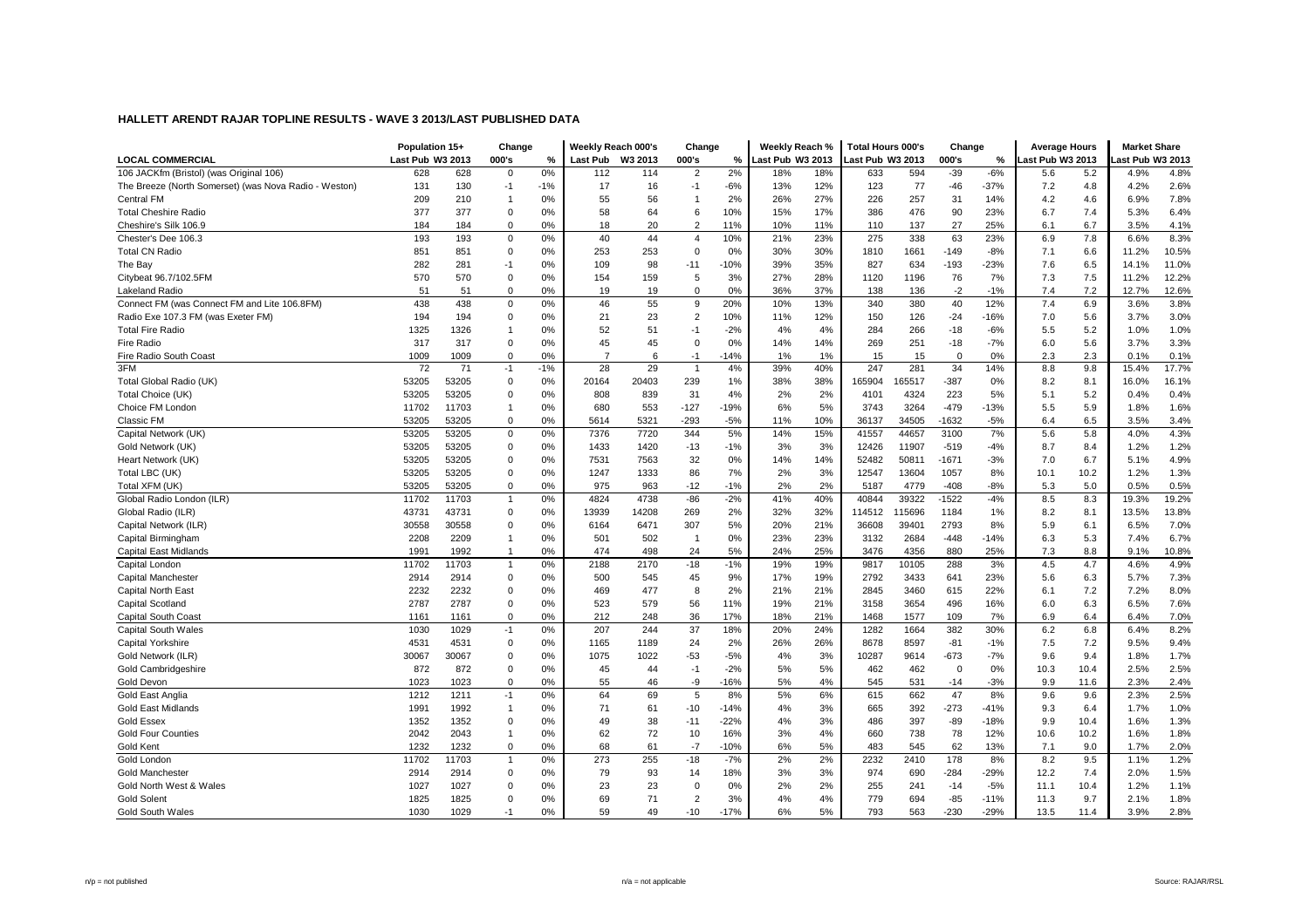|                                                       | Population 15+   |       | Change         |       | Weekly Reach 000's |         | Change         |        | Weekly Reach %   |     | Total Hours 000's |        | Change         |        | <b>Average Hours</b> |      | <b>Market Share</b> |       |
|-------------------------------------------------------|------------------|-------|----------------|-------|--------------------|---------|----------------|--------|------------------|-----|-------------------|--------|----------------|--------|----------------------|------|---------------------|-------|
| <b>LOCAL COMMERCIAL</b>                               | Last Pub W3 2013 |       | 000's          | %     | Last Pub           | W3 2013 | 000's          | ℅      | Last Pub W3 2013 |     | ast Pub W3 2013   |        | 000's          | %      | ast Pub W3 2013      |      | ast Pub W3 2013     |       |
| 106 JACKfm (Bristol) (was Original 106)               | 628              | 628   | $\mathbf 0$    | 0%    | 112                | 114     | $\overline{2}$ | 2%     | 18%              | 18% | 633               | 594    | $-39$          | $-6%$  | 5.6                  | 5.2  | 4.9%                | 4.8%  |
| The Breeze (North Somerset) (was Nova Radio - Weston) | 131              | 130   | $-1$           | $-1%$ | 17                 | 16      | $-1$           | $-6%$  | 13%              | 12% | 123               | 77     | $-46$          | $-37%$ | 7.2                  | 4.8  | 4.2%                | 2.6%  |
| <b>Central FM</b>                                     | 209              | 210   | $\overline{1}$ | 0%    | 55                 | 56      | $\overline{1}$ | 2%     | 26%              | 27% | 226               | 257    | 31             | 14%    | 4.2                  | 4.6  | 6.9%                | 7.8%  |
| <b>Total Cheshire Radio</b>                           | 377              | 377   | 0              | 0%    | 58                 | 64      | 6              | 10%    | 15%              | 17% | 386               | 476    | 90             | 23%    | 6.7                  | 7.4  | 5.3%                | 6.4%  |
| Cheshire's Silk 106.9                                 | 184              | 184   | $\mathbf 0$    | 0%    | 18                 | 20      | $\overline{2}$ | 11%    | 10%              | 11% | 110               | 137    | 27             | 25%    | 6.1                  | 6.7  | 3.5%                | 4.1%  |
| Chester's Dee 106.3                                   | 193              | 193   | $\mathbf 0$    | 0%    | 40                 | 44      | $\overline{4}$ | 10%    | 21%              | 23% | 275               | 338    | 63             | 23%    | 6.9                  | 7.8  | 6.6%                | 8.3%  |
| <b>Total CN Radio</b>                                 | 851              | 851   | $\mathbf 0$    | 0%    | 253                | 253     | $\mathbf 0$    | 0%     | 30%              | 30% | 1810              | 1661   | $-149$         | $-8%$  | 7.1                  | 6.6  | 11.2%               | 10.5% |
| The Bay                                               | 282              | 281   | $-1$           | 0%    | 109                | 98      | $-11$          | $-10%$ | 39%              | 35% | 827               | 634    | $-193$         | $-23%$ | 7.6                  | 6.5  | 14.1%               | 11.0% |
| Citybeat 96.7/102.5FM                                 | 570              | 570   | $\mathbf 0$    | 0%    | 154                | 159     | 5              | 3%     | 27%              | 28% | 1120              | 1196   | 76             | 7%     | 7.3                  | 7.5  | 11.2%               | 12.2% |
| <b>Lakeland Radio</b>                                 | 51               | 51    | $\mathbf 0$    | 0%    | 19                 | 19      | $\mathbf 0$    | 0%     | 36%              | 37% | 138               | 136    | $-2$           | $-1%$  | 7.4                  | 7.2  | 12.7%               | 12.6% |
| Connect FM (was Connect FM and Lite 106.8FM)          | 438              | 438   | $\mathbf 0$    | 0%    | 46                 | 55      | 9              | 20%    | 10%              | 13% | 340               | 380    | 40             | 12%    | 7.4                  | 6.9  | 3.6%                | 3.8%  |
| Radio Exe 107.3 FM (was Exeter FM)                    | 194              | 194   | $\mathbf 0$    | 0%    | 21                 | 23      | $\overline{2}$ | 10%    | 11%              | 12% | 150               | 126    | $-24$          | -16%   | 7.0                  | 5.6  | 3.7%                | 3.0%  |
| <b>Total Fire Radio</b>                               | 1325             | 1326  |                | 0%    | 52                 | 51      | $-1$           | $-2%$  | 4%               | 4%  | 284               | 266    | $-18$          | $-6%$  | 5.5                  | 5.2  | 1.0%                | 1.0%  |
| Fire Radio                                            | 317              | 317   | $\mathbf 0$    | 0%    | 45                 | 45      | $\mathbf 0$    | 0%     | 14%              | 14% | 269               | 251    | $-18$          | $-7%$  | 6.0                  | 5.6  | 3.7%                | 3.3%  |
| Fire Radio South Coast                                | 1009             | 1009  | $\mathbf 0$    | 0%    | $\overline{7}$     | 6       | $-1$           | $-14%$ | 1%               | 1%  | 15                | 15     | $\overline{0}$ | 0%     | 2.3                  | 2.3  | 0.1%                | 0.1%  |
| 3FM                                                   | 72               | 71    | $-1$           | $-1%$ | 28                 | 29      | $\overline{1}$ | 4%     | 39%              | 40% | 247               | 281    | 34             | 14%    | 8.8                  | 9.8  | 15.4%               | 17.7% |
| Total Global Radio (UK)                               | 53205            | 53205 | $\mathbf 0$    | 0%    | 20164              | 20403   | 239            | 1%     | 38%              | 38% | 165904            | 65517  | $-387$         | 0%     | 8.2                  | 8.1  | 16.0%               | 16.1% |
| Total Choice (UK)                                     | 53205            | 53205 | $\mathbf 0$    | 0%    | 808                | 839     | 31             | 4%     | 2%               | 2%  | 4101              | 4324   | 223            | 5%     | 5.1                  | 5.2  | 0.4%                | 0.4%  |
| Choice FM London                                      | 11702            | 11703 | $\overline{1}$ | 0%    | 680                | 553     | $-127$         | $-19%$ | 6%               | 5%  | 3743              | 3264   | $-479$         | $-13%$ | 5.5                  | 5.9  | 1.8%                | 1.6%  |
| Classic FM                                            | 53205            | 53205 | $\mathbf 0$    | 0%    | 5614               | 5321    | $-293$         | $-5%$  | 11%              | 10% | 36137             | 34505  | $-1632$        | $-5%$  | 6.4                  | 6.5  | 3.5%                | 3.4%  |
| Capital Network (UK)                                  | 53205            | 53205 | $\mathbf 0$    | 0%    | 7376               | 7720    | 344            | 5%     | 14%              | 15% | 41557             | 44657  | 3100           | 7%     | 5.6                  | 5.8  | 4.0%                | 4.3%  |
| Gold Network (UK)                                     | 53205            | 53205 | $\mathbf 0$    | 0%    | 1433               | 1420    | $-13$          | $-1%$  | 3%               | 3%  | 12426             | 11907  | $-519$         | $-4%$  | 8.7                  | 8.4  | 1.2%                | 1.2%  |
| Heart Network (UK)                                    | 53205            | 53205 | $\mathbf 0$    | 0%    | 7531               | 7563    | 32             | 0%     | 14%              | 14% | 52482             | 50811  | $-1671$        | $-3%$  | 7.0                  | 6.7  | 5.1%                | 4.9%  |
| Total LBC (UK)                                        | 53205            | 53205 | $\mathbf 0$    | 0%    | 1247               | 1333    | 86             | 7%     | 2%               | 3%  | 12547             | 13604  | 1057           | 8%     | 10.1                 | 10.2 | 1.2%                | 1.3%  |
| Total XFM (UK)                                        | 53205            | 53205 | $\mathbf 0$    | 0%    | 975                | 963     | $-12$          | $-1%$  | 2%               | 2%  | 5187              | 4779   | $-408$         | $-8%$  | 5.3                  | 5.0  | 0.5%                | 0.5%  |
| Global Radio London (ILR)                             | 11702            | 11703 | $\overline{1}$ | 0%    | 4824               | 4738    | $-86$          | $-2%$  | 41%              | 40% | 40844             | 39322  | $-1522$        | $-4%$  | 8.5                  | 8.3  | 19.3%               | 19.2% |
| Global Radio (ILR)                                    | 43731            | 43731 | 0              | 0%    | 13939              | 14208   | 269            | 2%     | 32%              | 32% | 114512            | 115696 | 1184           | 1%     | 8.2                  | 8.1  | 13.5%               | 13.8% |
| Capital Network (ILR)                                 | 30558            | 30558 | $\Omega$       | 0%    | 6164               | 6471    | 307            | 5%     | 20%              | 21% | 36608             | 39401  | 2793           | 8%     | 5.9                  | 6.1  | 6.5%                | 7.0%  |
| Capital Birmingham                                    | 2208             | 2209  | $\overline{1}$ | 0%    | 501                | 502     | $\overline{1}$ | 0%     | 23%              | 23% | 3132              | 2684   | $-448$         | $-14%$ | 6.3                  | 5.3  | 7.4%                | 6.7%  |
| <b>Capital East Midlands</b>                          | 1991             | 1992  |                | 0%    | 474                | 498     | 24             | 5%     | 24%              | 25% | 3476              | 4356   | 880            | 25%    | 7.3                  | 8.8  | 9.1%                | 10.8% |
| Capital London                                        | 11702            | 11703 | $\overline{1}$ | 0%    | 2188               | 2170    | $-18$          | $-1%$  | 19%              | 19% | 9817              | 10105  | 288            | 3%     | 4.5                  | 4.7  | 4.6%                | 4.9%  |
| Capital Manchester                                    | 2914             | 2914  | $\mathbf 0$    | 0%    | 500                | 545     | 45             | 9%     | 17%              | 19% | 2792              | 3433   | 641            | 23%    | 5.6                  | 6.3  | 5.7%                | 7.3%  |
| Capital North East                                    | 2232             | 2232  | 0              | 0%    | 469                | 477     | 8              | 2%     | 21%              | 21% | 2845              | 3460   | 615            | 22%    | 6.1                  | 7.2  | 7.2%                | 8.0%  |
| <b>Capital Scotland</b>                               | 2787             | 2787  | $\mathbf 0$    | 0%    | 523                | 579     | 56             | 11%    | 19%              | 21% | 3158              | 3654   | 496            | 16%    | 6.0                  | 6.3  | 6.5%                | 7.6%  |
| <b>Capital South Coast</b>                            | 1161             | 1161  | $\mathbf 0$    | 0%    | 212                | 248     | 36             | 17%    | 18%              | 21% | 1468              | 1577   | 109            | 7%     | 6.9                  | 6.4  | 6.4%                | 7.0%  |
| <b>Capital South Wales</b>                            | 1030             | 1029  | $-1$           | 0%    | 207                | 244     | 37             | 18%    | 20%              | 24% | 1282              | 1664   | 382            | 30%    | 6.2                  | 6.8  | 6.4%                | 8.2%  |
| <b>Capital Yorkshire</b>                              | 4531             | 4531  | $\mathbf 0$    | 0%    | 1165               | 1189    | 24             | 2%     | 26%              | 26% | 8678              | 8597   | $-81$          | $-1%$  | 7.5                  | 7.2  | 9.5%                | 9.4%  |
| Gold Network (ILR)                                    | 30067            | 30067 | $\Omega$       | 0%    | 1075               | 1022    | $-53$          | $-5%$  | 4%               | 3%  | 10287             | 9614   | $-673$         | $-7%$  | 9.6                  | 9.4  | 1.8%                | 1.7%  |
| Gold Cambridgeshire                                   | 872              | 872   | $\mathbf 0$    | 0%    | 45                 | 44      | $-1$           | $-2%$  | 5%               | 5%  | 462               | 462    | $\overline{0}$ | 0%     | 10.3                 | 10.4 | 2.5%                | 2.5%  |
| Gold Devon                                            | 1023             | 1023  | $\Omega$       | 0%    | 55                 | 46      | -9             | $-16%$ | 5%               | 4%  | 545               | 531    | $-14$          | $-3%$  | 9.9                  | 11.6 | 2.3%                | 2.4%  |
| Gold East Anglia                                      | 1212             | 1211  | $-1$           | 0%    | 64                 | 69      | 5              | 8%     | 5%               | 6%  | 615               | 662    | 47             | 8%     | 9.6                  | 9.6  | 2.3%                | 2.5%  |
| <b>Gold East Midlands</b>                             | 1991             | 1992  | $\overline{1}$ | 0%    | 71                 | 61      | $-10$          | $-14%$ | 4%               | 3%  | 665               | 392    | $-273$         | $-41%$ | 9.3                  | 6.4  | 1.7%                | 1.0%  |
| <b>Gold Essex</b>                                     | 1352             | 1352  | $\mathbf 0$    | 0%    | 49                 | 38      | $-11$          | $-22%$ | 4%               | 3%  | 486               | 397    | $-89$          | $-18%$ | 9.9                  | 10.4 | 1.6%                | 1.3%  |
| <b>Gold Four Counties</b>                             | 2042             | 2043  | -1             | 0%    | 62                 | 72      | 10             | 16%    | 3%               | 4%  | 660               | 738    | 78             | 12%    | 10.6                 | 10.2 | 1.6%                | 1.8%  |
| Gold Kent                                             | 1232             | 1232  | $\mathbf 0$    | 0%    | 68                 | 61      | $-7$           | $-10%$ | 6%               | 5%  | 483               | 545    | 62             | 13%    | 7.1                  | 9.0  | 1.7%                | 2.0%  |
| Gold London                                           | 11702            | 11703 | $\overline{1}$ | 0%    | 273                | 255     | $-18$          | $-7%$  | 2%               | 2%  | 2232              | 2410   | 178            | 8%     | 8.2                  | 9.5  | 1.1%                | 1.2%  |
| <b>Gold Manchester</b>                                | 2914             | 2914  | 0              | 0%    | 79                 | 93      | 14             | 18%    | 3%               | 3%  | 974               | 690    | $-284$         | $-29%$ | 12.2                 | 7.4  | 2.0%                | 1.5%  |
| Gold North West & Wales                               | 1027             | 1027  | $\mathbf 0$    | 0%    | 23                 | 23      | $\mathbf 0$    | 0%     | 2%               | 2%  | 255               | 241    | $-14$          | $-5%$  | 11.1                 | 10.4 | 1.2%                | 1.1%  |
| <b>Gold Solent</b>                                    | 1825             | 1825  | $\Omega$       | 0%    | 69                 | 71      | $\overline{2}$ | 3%     | 4%               | 4%  | 779               | 694    | $-85$          | $-11%$ | 11.3                 | 9.7  | 2.1%                | 1.8%  |
| Gold South Wales                                      | 1030             | 1029  | $-1$           | 0%    | 59                 | 49      | $-10$          | $-17%$ | 6%               | 5%  | 793               | 563    | $-230$         | $-29%$ | 13.5                 | 11.4 | 3.9%                | 2.8%  |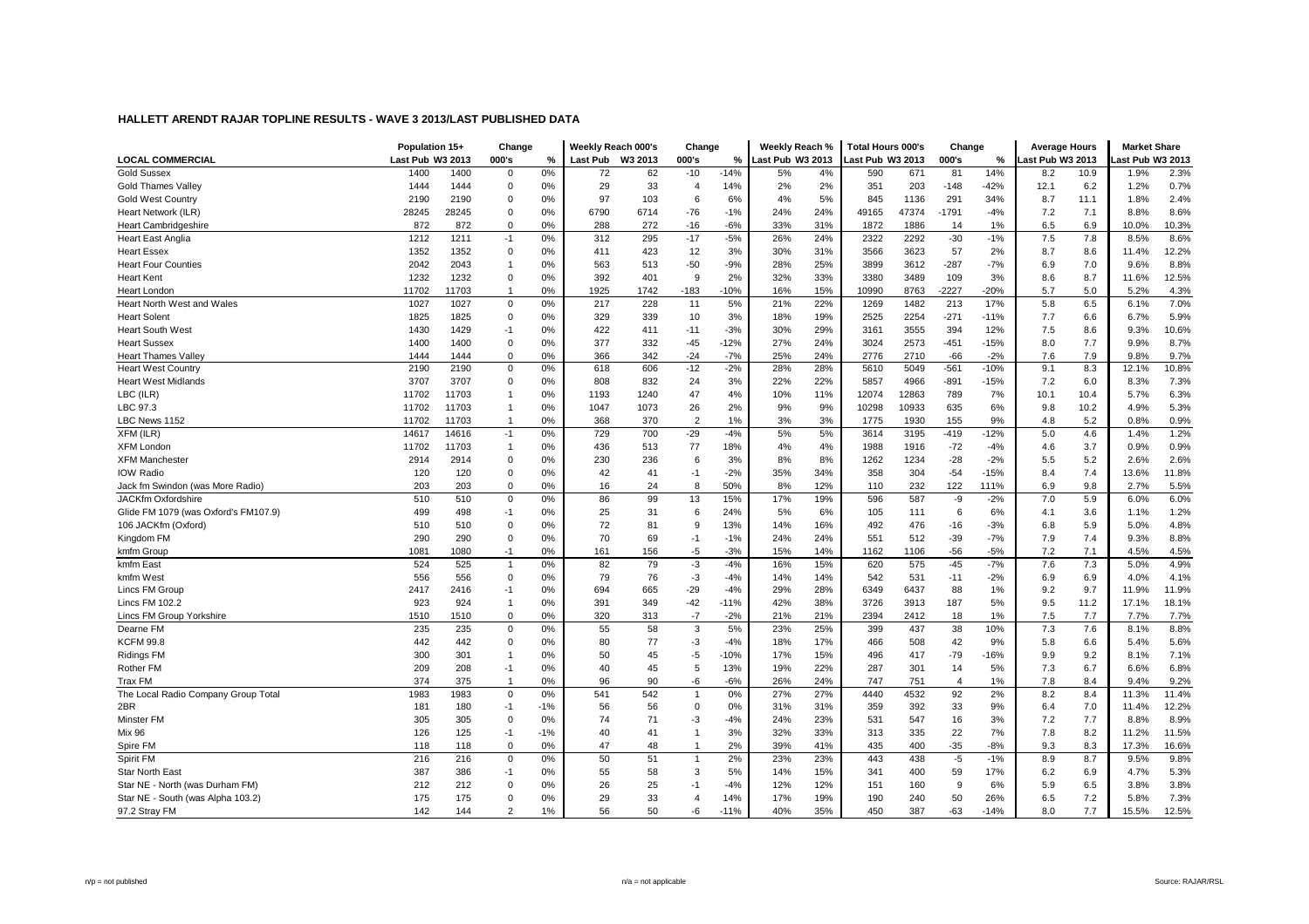|                                      | Population 15+   |       | Change         |       | Weekly Reach 000's |         | Change         |        | Weekly Reach %   |     | <b>Total Hours 000's</b> |       | Change         |        | <b>Average Hours</b> |      | <b>Market Share</b> |       |
|--------------------------------------|------------------|-------|----------------|-------|--------------------|---------|----------------|--------|------------------|-----|--------------------------|-------|----------------|--------|----------------------|------|---------------------|-------|
| <b>LOCAL COMMERCIAL</b>              | Last Pub W3 2013 |       | 000's          | %     | Last Pub           | W3 2013 | 000's          | %      | Last Pub W3 2013 |     | Last Pub W3 2013         |       | 000's          | $\%$   | ast Pub W3 2013      |      | ast Pub W3 2013     |       |
| <b>Gold Sussex</b>                   | 1400             | 1400  | $\mathbf 0$    | 0%    | 72                 | 62      | $-10$          | $-14%$ | 5%               | 4%  | 590                      | 671   | 81             | 14%    | 8.2                  | 10.9 | 1.9%                | 2.3%  |
| <b>Gold Thames Valley</b>            | 1444             | 1444  | $\Omega$       | 0%    | 29                 | 33      | $\overline{4}$ | 14%    | 2%               | 2%  | 351                      | 203   | $-148$         | -42%   | 12.1                 | 6.2  | 1.2%                | 0.7%  |
| <b>Gold West Country</b>             | 2190             | 2190  | $\mathbf 0$    | 0%    | 97                 | 103     | 6              | 6%     | 4%               | 5%  | 845                      | 1136  | 291            | 34%    | 8.7                  | 11.1 | 1.8%                | 2.4%  |
| Heart Network (ILR)                  | 28245            | 28245 | $\Omega$       | 0%    | 6790               | 6714    | $-76$          | $-1%$  | 24%              | 24% | 49165                    | 47374 | $-1791$        | $-4%$  | 7.2                  | 7.1  | 8.8%                | 8.6%  |
| <b>Heart Cambridgeshire</b>          | 872              | 872   | $\Omega$       | 0%    | 288                | 272     | $-16$          | $-6%$  | 33%              | 31% | 1872                     | 1886  | 14             | 1%     | 6.5                  | 6.9  | 10.0%               | 10.3% |
| <b>Heart East Anglia</b>             | 1212             | 1211  | -1             | 0%    | 312                | 295     | $-17$          | $-5%$  | 26%              | 24% | 2322                     | 2292  | $-30$          | $-1%$  | 7.5                  | 7.8  | 8.5%                | 8.6%  |
| <b>Heart Essex</b>                   | 1352             | 1352  | $\mathbf 0$    | 0%    | 411                | 423     | 12             | 3%     | 30%              | 31% | 3566                     | 3623  | 57             | 2%     | 8.7                  | 8.6  | 11.4%               | 12.2% |
| <b>Heart Four Counties</b>           | 2042             | 2043  | $\overline{1}$ | 0%    | 563                | 513     | $-50$          | $-9%$  | 28%              | 25% | 3899                     | 3612  | $-287$         | $-7%$  | 6.9                  | 7.0  | 9.6%                | 8.8%  |
| <b>Heart Kent</b>                    | 1232             | 1232  | $\mathbf 0$    | 0%    | 392                | 401     | 9              | 2%     | 32%              | 33% | 3380                     | 3489  | 109            | 3%     | 8.6                  | 8.7  | 11.6%               | 12.5% |
| Heart London                         | 11702            | 11703 |                | 0%    | 1925               | 1742    | $-183$         | $-10%$ | 16%              | 15% | 10990                    | 8763  | $-2227$        | $-20%$ | 5.7                  | 5.0  | 5.2%                | 4.3%  |
| Heart North West and Wales           | 1027             | 1027  | $\mathbf 0$    | 0%    | 217                | 228     | 11             | 5%     | 21%              | 22% | 1269                     | 1482  | 213            | 17%    | 5.8                  | 6.5  | 6.1%                | 7.0%  |
| <b>Heart Solent</b>                  | 1825             | 1825  | $\mathbf 0$    | 0%    | 329                | 339     | 10             | 3%     | 18%              | 19% | 2525                     | 2254  | $-271$         | $-11%$ | 7.7                  | 6.6  | 6.7%                | 5.9%  |
| <b>Heart South West</b>              | 1430             | 1429  | $-1$           | 0%    | 422                | 411     | $-11$          | $-3%$  | 30%              | 29% | 3161                     | 3555  | 394            | 12%    | 7.5                  | 8.6  | 9.3%                | 10.6% |
| <b>Heart Sussex</b>                  | 1400             | 1400  | $\Omega$       | 0%    | 377                | 332     | $-45$          | $-12%$ | 27%              | 24% | 3024                     | 2573  | $-451$         | $-15%$ | 8.0                  | 7.7  | 9.9%                | 8.7%  |
| <b>Heart Thames Valley</b>           | 1444             | 1444  | $\Omega$       | 0%    | 366                | 342     | $-24$          | $-7%$  | 25%              | 24% | 2776                     | 2710  | $-66$          | $-2%$  | 7.6                  | 7.9  | 9.8%                | 9.7%  |
| <b>Heart West Country</b>            | 2190             | 2190  | $\mathbf 0$    | 0%    | 618                | 606     | $-12$          | $-2%$  | 28%              | 28% | 5610                     | 5049  | $-561$         | $-10%$ | 9.1                  | 8.3  | 12.1%               | 10.8% |
| <b>Heart West Midlands</b>           | 3707             | 3707  | $\Omega$       | 0%    | 808                | 832     | 24             | 3%     | 22%              | 22% | 5857                     | 4966  | $-891$         | -15%   | 7.2                  | 6.0  | 8.3%                | 7.3%  |
| LBC (ILR)                            | 11702            | 11703 |                | 0%    | 1193               | 1240    | 47             | 4%     | 10%              | 11% | 12074                    | 12863 | 789            | 7%     | 10.1                 | 10.4 | 5.7%                | 6.3%  |
| LBC 97.3                             | 11702            | 11703 | -1             | 0%    | 1047               | 1073    | 26             | 2%     | 9%               | 9%  | 10298                    | 10933 | 635            | 6%     | 9.8                  | 10.2 | 4.9%                | 5.3%  |
| LBC News 1152                        | 11702            | 11703 | $\overline{1}$ | 0%    | 368                | 370     | $\overline{2}$ | 1%     | 3%               | 3%  | 1775                     | 1930  | 155            | 9%     | 4.8                  | 5.2  | 0.8%                | 0.9%  |
| XFM (ILR)                            | 14617            | 14616 | $-1$           | 0%    | 729                | 700     | $-29$          | $-4%$  | 5%               | 5%  | 3614                     | 3195  | $-419$         | $-12%$ | 5.0                  | 4.6  | 1.4%                | 1.2%  |
| <b>XFM Londor</b>                    | 11702            | 11703 | $\overline{1}$ | 0%    | 436                | 513     | 77             | 18%    | 4%               | 4%  | 1988                     | 1916  | $-72$          | $-4%$  | 4.6                  | 3.7  | 0.9%                | 0.9%  |
| <b>XFM Manchester</b>                | 2914             | 2914  | $\mathbf 0$    | 0%    | 230                | 236     | 6              | 3%     | 8%               | 8%  | 1262                     | 1234  | $-28$          | $-2%$  | 5.5                  | 5.2  | 2.6%                | 2.6%  |
| <b>IOW Radio</b>                     | 120              | 120   | $\Omega$       | 0%    | 42                 | 41      | $-1$           | $-2%$  | 35%              | 34% | 358                      | 304   | $-54$          | $-15%$ | 8.4                  | 7.4  | 13.6%               | 11.8% |
| Jack fm Swindon (was More Radio)     | 203              | 203   | $\mathbf 0$    | 0%    | 16                 | 24      | 8              | 50%    | 8%               | 12% | 110                      | 232   | 122            | 111%   | 6.9                  | 9.8  | 2.7%                | 5.5%  |
| <b>JACKfm Oxfordshire</b>            | 510              | 510   | $\mathbf 0$    | 0%    | 86                 | 99      | 13             | 15%    | 17%              | 19% | 596                      | 587   | -9             | $-2%$  | 7.0                  | 5.9  | 6.0%                | 6.0%  |
| Glide FM 1079 (was Oxford's FM107.9) | 499              | 498   | $-1$           | 0%    | 25                 | 31      | 6              | 24%    | 5%               | 6%  | 105                      | 111   | 6              | 6%     | 4.1                  | 3.6  | 1.1%                | 1.2%  |
| 106 JACKfm (Oxford)                  | 510              | 510   | $\mathbf 0$    | 0%    | 72                 | 81      | 9              | 13%    | 14%              | 16% | 492                      | 476   | $-16$          | $-3%$  | 6.8                  | 5.9  | 5.0%                | 4.8%  |
| Kingdom FM                           | 290              | 290   | $\mathbf 0$    | 0%    | 70                 | 69      | $-1$           | $-1%$  | 24%              | 24% | 551                      | 512   | $-39$          | $-7%$  | 7.9                  | 7.4  | 9.3%                | 8.8%  |
| kmfm Group                           | 1081             | 1080  | $-1$           | 0%    | 161                | 156     | $-5$           | $-3%$  | 15%              | 14% | 1162                     | 1106  | $-56$          | $-5%$  | 7.2                  | 7.1  | 4.5%                | 4.5%  |
| kmfm East                            | 524              | 525   | -1             | 0%    | 82                 | 79      | $-3$           | $-4%$  | 16%              | 15% | 620                      | 575   | $-45$          | $-7%$  | 7.6                  | 7.3  | 5.0%                | 4.9%  |
| kmfm West                            | 556              | 556   | $\Omega$       | 0%    | 79                 | 76      | $-3$           | $-4%$  | 14%              | 14% | 542                      | 531   | $-11$          | $-2%$  | 6.9                  | 6.9  | 4.0%                | 4.1%  |
| Lincs FM Group                       | 2417             | 2416  | $-1$           | 0%    | 694                | 665     | $-29$          | $-4%$  | 29%              | 28% | 6349                     | 6437  | 88             | 1%     | 9.2                  | 9.7  | 11.9%               | 11.9% |
| <b>Lincs FM 102.2</b>                | 923              | 924   | -1             | 0%    | 391                | 349     | $-42$          | $-11%$ | 42%              | 38% | 3726                     | 3913  | 187            | 5%     | 9.5                  | 11.2 | 17.1%               | 18.1% |
| Lincs FM Group Yorkshire             | 1510             | 1510  | $\mathbf 0$    | 0%    | 320                | 313     | $-7$           | $-2%$  | 21%              | 21% | 2394                     | 2412  | 18             | 1%     | 7.5                  | 7.7  | 7.7%                | 7.7%  |
| Dearne FM                            | 235              | 235   | $\mathbf 0$    | 0%    | 55                 | 58      | 3              | 5%     | 23%              | 25% | 399                      | 437   | 38             | 10%    | 7.3                  | 7.6  | 8.1%                | 8.8%  |
| <b>KCFM 99.8</b>                     | 442              | 442   | $\Omega$       | 0%    | 80                 | 77      | $-3$           | $-4%$  | 18%              | 17% | 466                      | 508   | 42             | 9%     | 5.8                  | 6.6  | 5.4%                | 5.6%  |
| <b>Ridings FM</b>                    | 300              | 301   | -1             | 0%    | 50                 | 45      | -5             | $-10%$ | 17%              | 15% | 496                      | 417   | $-79$          | -16%   | 9.9                  | 9.2  | 8.1%                | 7.1%  |
| Rother FM                            | 209              | 208   | $-1$           | 0%    | 40                 | 45      | 5              | 13%    | 19%              | 22% | 287                      | 301   | 14             | 5%     | 7.3                  | 6.7  | 6.6%                | 6.8%  |
| Trax FM                              | 374              | 375   | $\overline{1}$ | 0%    | 96                 | 90      | -6             | $-6%$  | 26%              | 24% | 747                      | 751   | $\overline{4}$ | 1%     | 7.8                  | 8.4  | 9.4%                | 9.2%  |
| The Local Radio Company Group Total  | 1983             | 1983  | $\mathbf 0$    | 0%    | 541                | 542     | $\mathbf{1}$   | 0%     | 27%              | 27% | 4440                     | 4532  | 92             | 2%     | 8.2                  | 8.4  | 11.3%               | 11.4% |
| 2BR                                  | 181              | 180   | $-1$           | $-1%$ | 56                 | 56      | $\mathbf 0$    | 0%     | 31%              | 31% | 359                      | 392   | 33             | 9%     | 6.4                  | 7.0  | 11.4%               | 12.2% |
| Minster FM                           | 305              | 305   | $\mathbf 0$    | 0%    | 74                 | 71      | $-3$           | $-4%$  | 24%              | 23% | 531                      | 547   | 16             | 3%     | 7.2                  | 7.7  | 8.8%                | 8.9%  |
| <b>Mix 96</b>                        | 126              | 125   | $-1$           | $-1%$ | 40                 | 41      | $\overline{1}$ | 3%     | 32%              | 33% | 313                      | 335   | 22             | 7%     | 7.8                  | 8.2  | 11.2%               | 11.5% |
| Spire FM                             | 118              | 118   | $\mathbf 0$    | 0%    | 47                 | 48      | -1             | 2%     | 39%              | 41% | 435                      | 400   | $-35$          | $-8%$  | 9.3                  | 8.3  | 17.3%               | 16.6% |
| Spirit FM                            | 216              | 216   | $\mathbf 0$    | 0%    | 50                 | 51      | $\overline{1}$ | 2%     | 23%              | 23% | 443                      | 438   | $-5$           | $-1%$  | 8.9                  | 8.7  | 9.5%                | 9.8%  |
| <b>Star North East</b>               | 387              | 386   | $-1$           | 0%    | 55                 | 58      | 3              | 5%     | 14%              | 15% | 341                      | 400   | 59             | 17%    | 6.2                  | 6.9  | 4.7%                | 5.3%  |
| Star NE - North (was Durham FM)      | 212              | 212   | $\mathbf 0$    | 0%    | 26                 | 25      | $-1$           | $-4%$  | 12%              | 12% | 151                      | 160   | 9              | 6%     | 5.9                  | 6.5  | 3.8%                | 3.8%  |
| Star NE - South (was Alpha 103.2)    | 175              | 175   | $\Omega$       | 0%    | 29                 | 33      | $\overline{4}$ | 14%    | 17%              | 19% | 190                      | 240   | 50             | 26%    | 6.5                  | 7.2  | 5.8%                | 7.3%  |
| 97.2 Stray FM                        | 142              | 144   | $\overline{2}$ | 1%    | 56                 | 50      | -6             | $-11%$ | 40%              | 35% | 450                      | 387   | $-63$          | $-14%$ | 8.0                  | 7.7  | 15.5%               | 12.5% |
|                                      |                  |       |                |       |                    |         |                |        |                  |     |                          |       |                |        |                      |      |                     |       |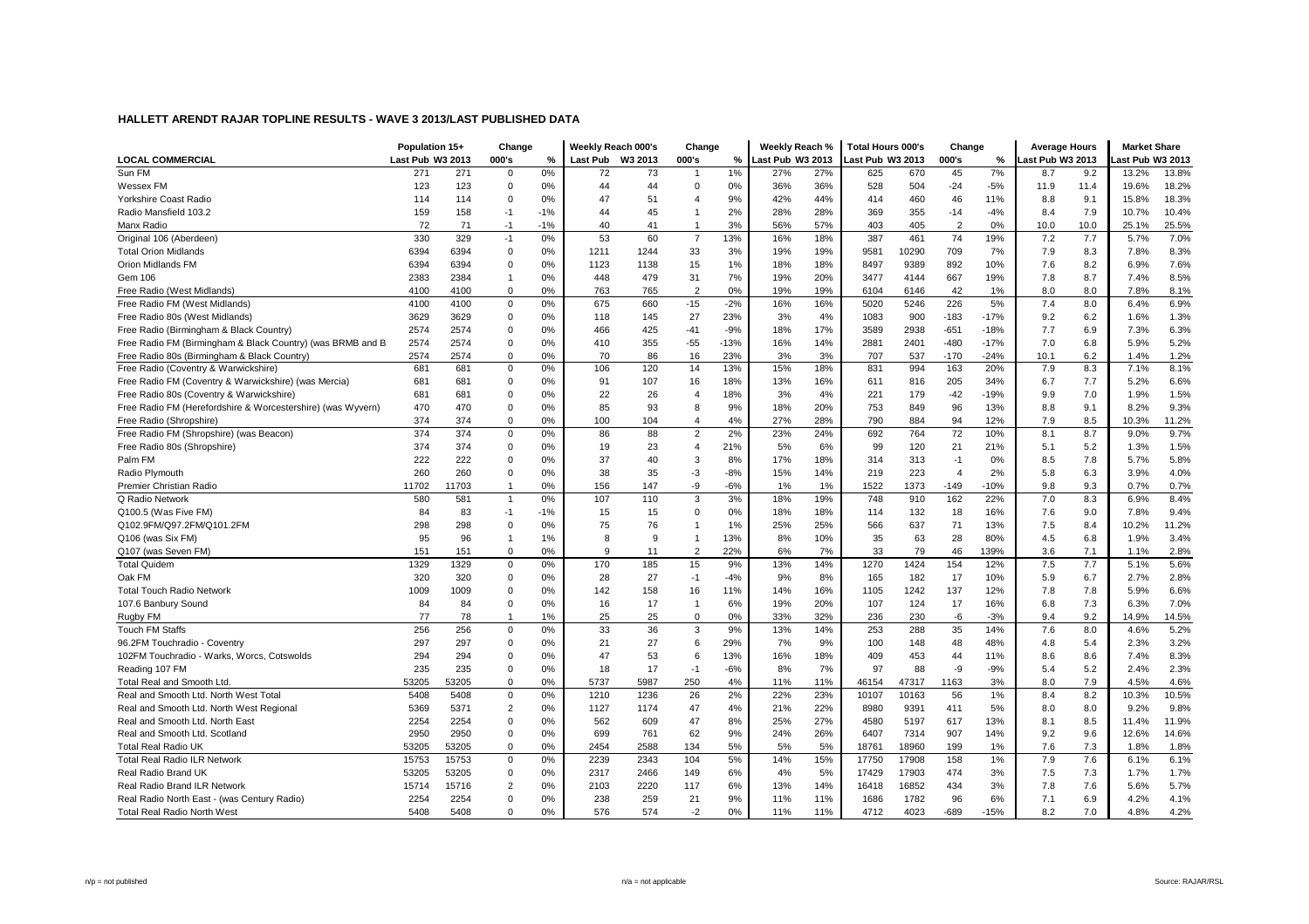|                                                             | Population 15+   |       | Change         |       | Weekly Reach 000's |                  | Change         |        | Weekly Reach %   |     | Total Hours 000's |       | Change         |        | <b>Average Hours</b> |      | <b>Market Share</b> |       |
|-------------------------------------------------------------|------------------|-------|----------------|-------|--------------------|------------------|----------------|--------|------------------|-----|-------------------|-------|----------------|--------|----------------------|------|---------------------|-------|
| <b>LOCAL COMMERCIAL</b>                                     | Last Pub W3 2013 |       | 000's          | %     |                    | Last Pub W3 2013 | 000's          | %      | Last Pub W3 2013 |     | Last Pub W3 2013  |       | 000's          | %      | ast Pub W3 2013      |      | ast Pub W3 2013     |       |
| Sun FM                                                      | 271              | 271   | $\mathbf 0$    | 0%    | 72                 | 73               | $\mathbf{1}$   | 1%     | 27%              | 27% | 625               | 670   | 45             | 7%     | 8.7                  | 9.2  | 13.2%               | 13.8% |
| Wessex FM                                                   | 123              | 123   | $\mathbf 0$    | 0%    | 44                 | 44               | $\mathbf 0$    | 0%     | 36%              | 36% | 528               | 504   | $-24$          | $-5%$  | 11.9                 | 11.4 | 19.6%               | 18.2% |
| Yorkshire Coast Radio                                       | 114              | 114   | $\mathbf 0$    | 0%    | 47                 | 51               | 4              | 9%     | 42%              | 44% | 414               | 460   | 46             | 11%    | 8.8                  | 9.1  | 15.8%               | 18.3% |
| Radio Mansfield 103.2                                       | 159              | 158   | $-1$           | $-1%$ | 44                 | 45               | $\mathbf{1}$   | 2%     | 28%              | 28% | 369               | 355   | $-14$          | $-4%$  | 8.4                  | 7.9  | 10.7%               | 10.4% |
| Manx Radio                                                  | 72               | 71    | $-1$           | $-1%$ | 40                 | 41               | $\overline{1}$ | 3%     | 56%              | 57% | 403               | 405   | $\overline{2}$ | 0%     | 10.0                 | 10.0 | 25.1%               | 25.5% |
| Original 106 (Aberdeen)                                     | 330              | 329   | $-1$           | 0%    | 53                 | 60               | $\overline{7}$ | 13%    | 16%              | 18% | 387               | 461   | 74             | 19%    | 7.2                  | 7.7  | 5.7%                | 7.0%  |
| <b>Total Orion Midlands</b>                                 | 6394             | 6394  | $\mathbf 0$    | 0%    | 1211               | 1244             | 33             | 3%     | 19%              | 19% | 9581              | 10290 | 709            | 7%     | 7.9                  | 8.3  | 7.8%                | 8.3%  |
| Orion Midlands FM                                           | 6394             | 6394  | $\Omega$       | 0%    | 1123               | 1138             | 15             | 1%     | 18%              | 18% | 8497              | 9389  | 892            | 10%    | 7.6                  | 8.2  | 6.9%                | 7.6%  |
| Gem 106                                                     | 2383             | 2384  |                | 0%    | 448                | 479              | 31             | 7%     | 19%              | 20% | 3477              | 4144  | 667            | 19%    | 7.8                  | 8.7  | 7.4%                | 8.5%  |
| Free Radio (West Midlands)                                  | 4100             | 4100  | $\mathbf 0$    | 0%    | 763                | 765              | $\overline{2}$ | 0%     | 19%              | 19% | 6104              | 6146  | 42             | 1%     | 8.0                  | 8.0  | 7.8%                | 8.1%  |
| Free Radio FM (West Midlands)                               | 4100             | 4100  | 0              | 0%    | 675                | 660              | $-15$          | $-2%$  | 16%              | 16% | 5020              | 5246  | 226            | 5%     | 7.4                  | 8.0  | 6.4%                | 6.9%  |
| Free Radio 80s (West Midlands)                              | 3629             | 3629  | $\mathbf 0$    | 0%    | 118                | 145              | 27             | 23%    | 3%               | 4%  | 1083              | 900   | $-183$         | $-17%$ | 9.2                  | 6.2  | 1.6%                | 1.3%  |
| Free Radio (Birmingham & Black Country)                     | 2574             | 2574  | 0              | 0%    | 466                | 425              | $-41$          | $-9%$  | 18%              | 17% | 3589              | 2938  | $-651$         | $-18%$ | 7.7                  | 6.9  | 7.3%                | 6.3%  |
| Free Radio FM (Birmingham & Black Country) (was BRMB and B  | 2574             | 2574  | $\Omega$       | 0%    | 410                | 355              | $-55$          | $-13%$ | 16%              | 14% | 2881              | 2401  | $-480$         | $-17%$ | 7.0                  | 6.8  | 5.9%                | 5.2%  |
| Free Radio 80s (Birmingham & Black Country)                 | 2574             | 2574  | 0              | 0%    | 70                 | 86               | 16             | 23%    | 3%               | 3%  | 707               | 537   | $-170$         | $-24%$ | 10.1                 | 6.2  | 1.4%                | 1.2%  |
| Free Radio (Coventry & Warwickshire)                        | 681              | 681   | $\mathbf 0$    | 0%    | 106                | 120              | 14             | 13%    | 15%              | 18% | 831               | 994   | 163            | 20%    | 7.9                  | 8.3  | 7.1%                | 8.1%  |
| Free Radio FM (Coventry & Warwickshire) (was Mercia)        | 681              | 681   | 0              | 0%    | 91                 | 107              | 16             | 18%    | 13%              | 16% | 611               | 816   | 205            | 34%    | 6.7                  | 7.7  | 5.2%                | 6.6%  |
| Free Radio 80s (Coventry & Warwickshire)                    | 681              | 681   | $\Omega$       | 0%    | 22                 | 26               | 4              | 18%    | 3%               | 4%  | 221               | 179   | $-42$          | $-19%$ | 9.9                  | 7.0  | 1.9%                | 1.5%  |
| Free Radio FM (Herefordshire & Worcestershire) (was Wyvern) | 470              | 470   | $\mathbf 0$    | 0%    | 85                 | 93               | 8              | 9%     | 18%              | 20% | 753               | 849   | 96             | 13%    | 8.8                  | 9.1  | 8.2%                | 9.3%  |
| Free Radio (Shropshire)                                     | 374              | 374   | $\mathbf 0$    | 0%    | 100                | 104              | 4              | 4%     | 27%              | 28% | 790               | 884   | 94             | 12%    | 7.9                  | 8.5  | 10.3%               | 11.2% |
| Free Radio FM (Shropshire) (was Beacon)                     | 374              | 374   | $\mathbf 0$    | 0%    | 86                 | 88               | $\overline{c}$ | 2%     | 23%              | 24% | 692               | 764   | 72             | 10%    | 8.1                  | 8.7  | 9.0%                | 9.7%  |
| Free Radio 80s (Shropshire)                                 | 374              | 374   | $\mathbf 0$    | 0%    | 19                 | 23               | 4              | 21%    | 5%               | 6%  | 99                | 120   | 21             | 21%    | 5.1                  | 5.2  | 1.3%                | 1.5%  |
| Palm FM                                                     | 222              | 222   | $\Omega$       | 0%    | 37                 | 40               | 3              | 8%     | 17%              | 18% | 314               | 313   | $-1$           | 0%     | 8.5                  | 7.8  | 5.7%                | 5.8%  |
| Radio Plymouth                                              | 260              | 260   | $\mathbf 0$    | 0%    | 38                 | 35               | $-3$           | $-8%$  | 15%              | 14% | 219               | 223   | $\overline{4}$ | 2%     | 5.8                  | 6.3  | 3.9%                | 4.0%  |
| Premier Christian Radio                                     | 11702            | 11703 | $\overline{1}$ | 0%    | 156                | 147              | -9             | $-6%$  | 1%               | 1%  | 1522              | 1373  | $-149$         | $-10%$ | 9.8                  | 9.3  | 0.7%                | 0.7%  |
| Q Radio Network                                             | 580              | 581   | $\overline{1}$ | 0%    | 107                | 110              | 3              | 3%     | 18%              | 19% | 748               | 910   | 162            | 22%    | 7.0                  | 8.3  | 6.9%                | 8.4%  |
| Q100.5 (Was Five FM)                                        | 84               | 83    | $-1$           | $-1%$ | 15                 | 15               | $\Omega$       | 0%     | 18%              | 18% | 114               | 132   | 18             | 16%    | 7.6                  | 9.0  | 7.8%                | 9.4%  |
| Q102.9FM/Q97.2FM/Q101.2FM                                   | 298              | 298   | $\Omega$       | 0%    | 75                 | 76               | $\overline{1}$ | 1%     | 25%              | 25% | 566               | 637   | 71             | 13%    | 7.5                  | 8.4  | 10.2%               | 11.2% |
| Q106 (was Six FM)                                           | 95               | 96    | -1             | 1%    | 8                  | 9                | $\overline{1}$ | 13%    | 8%               | 10% | 35                | 63    | 28             | 80%    | 4.5                  | 6.8  | 1.9%                | 3.4%  |
| Q107 (was Seven FM)                                         | 151              | 151   | $\mathbf 0$    | 0%    | 9                  | 11               | $\overline{2}$ | 22%    | 6%               | 7%  | 33                | 79    | 46             | 139%   | 3.6                  | 7.1  | 1.1%                | 2.8%  |
| <b>Total Quidem</b>                                         | 1329             | 1329  | $\mathbf 0$    | 0%    | 170                | 185              | 15             | 9%     | 13%              | 14% | 1270              | 1424  | 154            | 12%    | 7.5                  | 7.7  | 5.1%                | 5.6%  |
| Oak FM                                                      | 320              | 320   | $\mathbf 0$    | 0%    | 28                 | 27               | $-1$           | $-4%$  | 9%               | 8%  | 165               | 182   | 17             | 10%    | 5.9                  | 6.7  | 2.7%                | 2.8%  |
| <b>Total Touch Radio Network</b>                            | 1009             | 1009  | $\Omega$       | 0%    | 142                | 158              | 16             | 11%    | 14%              | 16% | 1105              | 1242  | 137            | 12%    | 7.8                  | 7.8  | 5.9%                | 6.6%  |
| 107.6 Banbury Sound                                         | 84               | 84    | $\mathbf 0$    | 0%    | 16                 | 17               | $\overline{1}$ | 6%     | 19%              | 20% | 107               | 124   | 17             | 16%    | 6.8                  | 7.3  | 6.3%                | 7.0%  |
| Rugby FM                                                    | 77               | 78    | $\overline{1}$ | 1%    | 25                 | 25               | $\mathbf 0$    | 0%     | 33%              | 32% | 236               | 230   | -6             | $-3%$  | 9.4                  | 9.2  | 14.9%               | 14.5% |
| <b>Touch FM Staffs</b>                                      | 256              | 256   | $\mathbf 0$    | 0%    | 33                 | 36               | 3              | 9%     | 13%              | 14% | 253               | 288   | 35             | 14%    | 7.6                  | 8.0  | 4.6%                | 5.2%  |
| 96.2FM Touchradio - Coventry                                | 297              | 297   | $\mathbf 0$    | 0%    | 21                 | 27               | 6              | 29%    | 7%               | 9%  | 100               | 148   | 48             | 48%    | 4.8                  | 5.4  | 2.3%                | 3.2%  |
| 102FM Touchradio - Warks, Worcs, Cotswolds                  | 294              | 294   | $\mathbf 0$    | 0%    | 47                 | 53               | 6              | 13%    | 16%              | 18% | 409               | 453   | 44             | 11%    | 8.6                  | 8.6  | 7.4%                | 8.3%  |
| Reading 107 FM                                              | 235              | 235   | 0              | 0%    | 18                 | 17               | $-1$           | $-6%$  | 8%               | 7%  | 97                | 88    | -9             | $-9%$  | 5.4                  | 5.2  | 2.4%                | 2.3%  |
| Total Real and Smooth Ltd.                                  | 53205            | 53205 | $\mathbf 0$    | 0%    | 5737               | 5987             | 250            | 4%     | 11%              | 11% | 46154             | 47317 | 1163           | 3%     | 8.0                  | 7.9  | 4.5%                | 4.6%  |
| Real and Smooth Ltd. North West Total                       | 5408             | 5408  | $\mathbf 0$    | 0%    | 1210               | 1236             | 26             | 2%     | 22%              | 23% | 10107             | 10163 | 56             | 1%     | 8.4                  | 8.2  | 10.3%               | 10.5% |
| Real and Smooth Ltd. North West Regional                    | 5369             | 5371  | $\overline{2}$ | 0%    | 1127               | 1174             | 47             | 4%     | 21%              | 22% | 8980              | 9391  | 411            | 5%     | 8.0                  | 8.0  | 9.2%                | 9.8%  |
| Real and Smooth Ltd. North East                             | 2254             | 2254  | $\mathbf 0$    | 0%    | 562                | 609              | 47             | 8%     | 25%              | 27% | 4580              | 5197  | 617            | 13%    | 8.1                  | 8.5  | 11.4%               | 11.9% |
| Real and Smooth Ltd. Scotland                               | 2950             | 2950  | $\Omega$       | 0%    | 699                | 761              | 62             | 9%     | 24%              | 26% | 6407              | 7314  | 907            | 14%    | 9.2                  | 9.6  | 12.6%               | 14.6% |
| <b>Total Real Radio UK</b>                                  | 53205            | 53205 | $\mathbf 0$    | 0%    | 2454               | 2588             | 134            | 5%     | 5%               | 5%  | 18761             | 18960 | 199            | 1%     | 7.6                  | 7.3  | 1.8%                | 1.8%  |
| <b>Total Real Radio ILR Network</b>                         | 15753            | 15753 | 0              | 0%    | 2239               | 2343             | 104            | 5%     | 14%              | 15% | 17750             | 17908 | 158            | 1%     | 7.9                  | 7.6  | 6.1%                | 6.1%  |
| Real Radio Brand UK                                         | 53205            | 53205 | $\mathbf 0$    | 0%    | 2317               | 2466             | 149            | 6%     | 4%               | 5%  | 17429             | 17903 | 474            | 3%     | 7.5                  | 7.3  | 1.7%                | 1.7%  |
| Real Radio Brand ILR Network                                | 15714            | 15716 | $\overline{2}$ | 0%    | 2103               | 2220             | 117            | 6%     | 13%              | 14% | 16418             | 16852 | 434            | 3%     | 7.8                  | 7.6  | 5.6%                | 5.7%  |
| Real Radio North East - (was Century Radio)                 | 2254             | 2254  | $\Omega$       | 0%    | 238                | 259              | 21             | 9%     | 11%              | 11% | 1686              | 1782  | 96             | 6%     | 7.1                  | 6.9  | 4.2%                | 4.1%  |
| <b>Total Real Radio North West</b>                          | 5408             | 5408  | $\Omega$       | 0%    | 576                | 574              | $-2$           | 0%     | 11%              | 11% | 4712              | 4023  | $-689$         | $-15%$ | 8.2                  | 7.0  | 4.8%                | 4.2%  |
|                                                             |                  |       |                |       |                    |                  |                |        |                  |     |                   |       |                |        |                      |      |                     |       |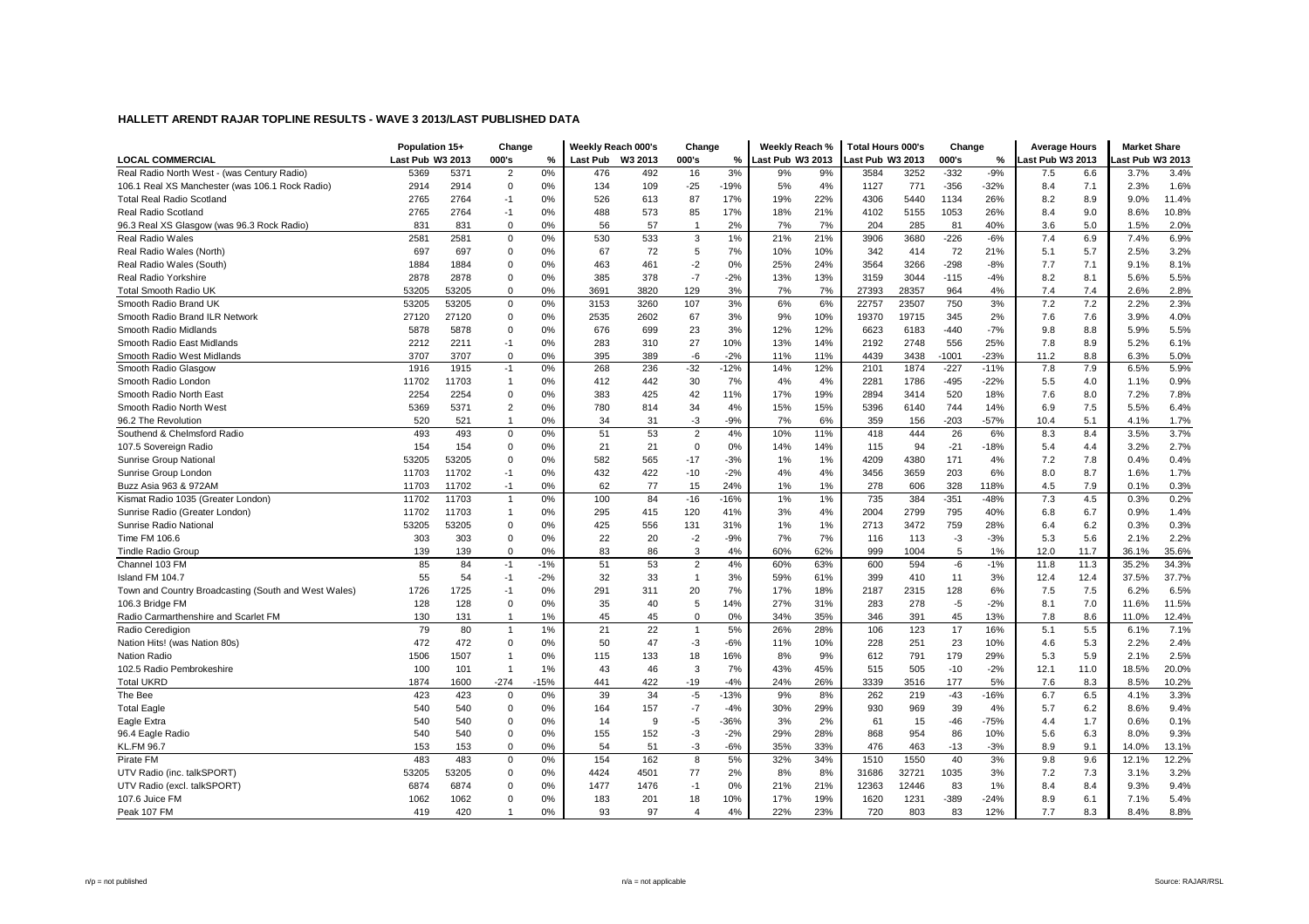|                                                      | Population 15+   |       | Change         |        | Weekly Reach 000's |         | Change         |        | Weekly Reach %   |     | <b>Total Hours 000's</b> |       | Change  |        | <b>Average Hours</b> |      | <b>Market Share</b> |       |
|------------------------------------------------------|------------------|-------|----------------|--------|--------------------|---------|----------------|--------|------------------|-----|--------------------------|-------|---------|--------|----------------------|------|---------------------|-------|
| <b>LOCAL COMMERCIAL</b>                              | Last Pub W3 2013 |       | 000's          | %      | Last Pub           | W3 2013 | 000's          | %      | Last Pub W3 2013 |     | ast Pub W3 2013          |       | 000's   | %      | ast Pub W3 2013      |      | ast Pub W3 2013     |       |
| Real Radio North West - (was Century Radio)          | 5369             | 5371  | $\overline{2}$ | 0%     | 476                | 492     | 16             | 3%     | 9%               | 9%  | 3584                     | 3252  | $-332$  | $-9%$  | 7.5                  | 6.6  | 3.7%                | 3.4%  |
| 106.1 Real XS Manchester (was 106.1 Rock Radio)      | 2914             | 2914  | $\mathbf 0$    | 0%     | 134                | 109     | $-25$          | $-19%$ | 5%               | 4%  | 1127                     | 771   | $-356$  | $-32%$ | 8.4                  | 7.1  | 2.3%                | 1.6%  |
| <b>Total Real Radio Scotland</b>                     | 2765             | 2764  | $-1$           | 0%     | 526                | 613     | 87             | 17%    | 19%              | 22% | 4306                     | 5440  | 1134    | 26%    | 8.2                  | 8.9  | 9.0%                | 11.4% |
| Real Radio Scotland                                  | 2765             | 2764  | $-1$           | 0%     | 488                | 573     | 85             | 17%    | 18%              | 21% | 4102                     | 5155  | 1053    | 26%    | 8.4                  | 9.0  | 8.6%                | 10.8% |
| 96.3 Real XS Glasgow (was 96.3 Rock Radio)           | 831              | 831   | $\mathbf 0$    | 0%     | 56                 | 57      | $\overline{1}$ | 2%     | 7%               | 7%  | 204                      | 285   | 81      | 40%    | 3.6                  | 5.0  | 1.5%                | 2.0%  |
| Real Radio Wales                                     | 2581             | 2581  | $\mathbf 0$    | 0%     | 530                | 533     | 3              | 1%     | 21%              | 21% | 3906                     | 3680  | $-226$  | $-6%$  | 7.4                  | 6.9  | 7.4%                | 6.9%  |
| Real Radio Wales (North)                             | 697              | 697   | $\mathbf 0$    | 0%     | 67                 | 72      | 5              | 7%     | 10%              | 10% | 342                      | 414   | 72      | 21%    | 5.1                  | 5.7  | 2.5%                | 3.2%  |
| Real Radio Wales (South)                             | 1884             | 1884  | $\mathbf 0$    | 0%     | 463                | 461     | $-2$           | 0%     | 25%              | 24% | 3564                     | 3266  | $-298$  | $-8%$  | 7.7                  | 7.1  | 9.1%                | 8.1%  |
| Real Radio Yorkshire                                 | 2878             | 2878  | $\mathbf 0$    | 0%     | 385                | 378     | $-7$           | $-2%$  | 13%              | 13% | 3159                     | 3044  | $-115$  | $-4%$  | 8.2                  | 8.1  | 5.6%                | 5.5%  |
| <b>Total Smooth Radio UK</b>                         | 53205            | 53205 | $\mathbf 0$    | 0%     | 3691               | 3820    | 129            | 3%     | 7%               | 7%  | 27393                    | 28357 | 964     | 4%     | 7.4                  | 7.4  | 2.6%                | 2.8%  |
| Smooth Radio Brand UK                                | 53205            | 53205 | 0              | 0%     | 3153               | 3260    | 107            | 3%     | 6%               | 6%  | 22757                    | 23507 | 750     | 3%     | 7.2                  | 7.2  | 2.2%                | 2.3%  |
| Smooth Radio Brand ILR Network                       | 27120            | 27120 | $\mathbf 0$    | 0%     | 2535               | 2602    | 67             | 3%     | 9%               | 10% | 19370                    | 19715 | 345     | 2%     | 7.6                  | 7.6  | 3.9%                | 4.0%  |
| Smooth Radio Midlands                                | 5878             | 5878  | $\mathbf 0$    | 0%     | 676                | 699     | 23             | 3%     | 12%              | 12% | 6623                     | 6183  | $-440$  | $-7%$  | 9.8                  | 8.8  | 5.9%                | 5.5%  |
| Smooth Radio East Midlands                           | 2212             | 2211  | $-1$           | 0%     | 283                | 310     | 27             | 10%    | 13%              | 14% | 2192                     | 2748  | 556     | 25%    | 7.8                  | 8.9  | 5.2%                | 6.1%  |
| Smooth Radio West Midlands                           | 3707             | 3707  | $\mathbf 0$    | 0%     | 395                | 389     | $-6$           | $-2%$  | 11%              | 11% | 4439                     | 3438  | $-1001$ | $-23%$ | 11.2                 | 8.8  | 6.3%                | 5.0%  |
| Smooth Radio Glasgow                                 | 1916             | 1915  | $-1$           | 0%     | 268                | 236     | $-32$          | $-12%$ | 14%              | 12% | 2101                     | 1874  | $-227$  | $-11%$ | 7.8                  | 7.9  | 6.5%                | 5.9%  |
| Smooth Radio London                                  | 11702            | 11703 | $\overline{1}$ | 0%     | 412                | 442     | 30             | 7%     | 4%               | 4%  | 2281                     | 1786  | $-495$  | $-22%$ | 5.5                  | 4.0  | 1.1%                | 0.9%  |
| Smooth Radio North East                              | 2254             | 2254  | 0              | 0%     | 383                | 425     | 42             | 11%    | 17%              | 19% | 2894                     | 3414  | 520     | 18%    | 7.6                  | 8.0  | 7.2%                | 7.8%  |
| Smooth Radio North West                              | 5369             | 5371  | $\overline{2}$ | 0%     | 780                | 814     | 34             | 4%     | 15%              | 15% | 5396                     | 6140  | 744     | 14%    | 6.9                  | 7.5  | 5.5%                | 6.4%  |
| 96.2 The Revolution                                  | 520              | 521   | -1             | 0%     | 34                 | 31      | $-3$           | $-9%$  | 7%               | 6%  | 359                      | 156   | $-203$  | $-57%$ | 10.4                 | 5.1  | 4.1%                | 1.7%  |
| Southend & Chelmsford Radio                          | 493              | 493   | $\mathbf 0$    | 0%     | 51                 | 53      | $\sqrt{2}$     | 4%     | 10%              | 11% | 418                      | 444   | 26      | 6%     | 8.3                  | 8.4  | 3.5%                | 3.7%  |
| 107.5 Sovereign Radio                                | 154              | 154   | $\mathbf 0$    | 0%     | 21                 | 21      | $\mathbf 0$    | 0%     | 14%              | 14% | 115                      | 94    | $-21$   | -18%   | 5.4                  | 4.4  | 3.2%                | 2.7%  |
| Sunrise Group National                               | 53205            | 53205 | $\mathbf 0$    | 0%     | 582                | 565     | $-17$          | $-3%$  | 1%               | 1%  | 4209                     | 4380  | 171     | 4%     | 7.2                  | 7.8  | 0.4%                | 0.4%  |
| Sunrise Group London                                 | 11703            | 11702 | $-1$           | 0%     | 432                | 422     | $-10$          | $-2%$  | 4%               | 4%  | 3456                     | 3659  | 203     | 6%     | 8.0                  | 8.7  | 1.6%                | 1.7%  |
| Buzz Asia 963 & 972AM                                | 11703            | 11702 | $-1$           | 0%     | 62                 | 77      | 15             | 24%    | 1%               | 1%  | 278                      | 606   | 328     | 118%   | 4.5                  | 7.9  | 0.1%                | 0.3%  |
| Kismat Radio 1035 (Greater London)                   | 11702            | 11703 | $\overline{1}$ | 0%     | 100                | 84      | $-16$          | $-16%$ | 1%               | 1%  | 735                      | 384   | $-351$  | $-48%$ | 7.3                  | 4.5  | 0.3%                | 0.2%  |
| Sunrise Radio (Greater London)                       | 11702            | 11703 | $\overline{1}$ | 0%     | 295                | 415     | 120            | 41%    | 3%               | 4%  | 2004                     | 2799  | 795     | 40%    | 6.8                  | 6.7  | 0.9%                | 1.4%  |
| Sunrise Radio National                               | 53205            | 53205 | $\mathbf 0$    | 0%     | 425                | 556     | 131            | 31%    | 1%               | 1%  | 2713                     | 3472  | 759     | 28%    | 6.4                  | 6.2  | 0.3%                | 0.3%  |
| Time FM 106.6                                        | 303              | 303   | $\mathbf 0$    | 0%     | 22                 | 20      | $-2$           | $-9%$  | 7%               | 7%  | 116                      | 113   | $-3$    | $-3%$  | 5.3                  | 5.6  | 2.1%                | 2.2%  |
| <b>Tindle Radio Group</b>                            | 139              | 139   | $\mathbf 0$    | 0%     | 83                 | 86      | 3              | 4%     | 60%              | 62% | 999                      | 1004  | 5       | 1%     | 12.0                 | 11.7 | 36.1%               | 35.6% |
| Channel 103 FM                                       | 85               | 84    | $-1$           | $-1%$  | 51                 | 53      | $\overline{2}$ | 4%     | 60%              | 63% | 600                      | 594   | -6      | $-1%$  | 11.8                 | 11.3 | 35.2%               | 34.3% |
| Island FM 104.7                                      | 55               | 54    | $-1$           | $-2%$  | 32                 | 33      | $\overline{1}$ | 3%     | 59%              | 61% | 399                      | 410   | 11      | 3%     | 12.4                 | 12.4 | 37.5%               | 37.7% |
| Town and Country Broadcasting (South and West Wales) | 1726             | 1725  | $-1$           | 0%     | 291                | 311     | 20             | 7%     | 17%              | 18% | 2187                     | 2315  | 128     | 6%     | 7.5                  | 7.5  | 6.2%                | 6.5%  |
| 106.3 Bridge FM                                      | 128              | 128   | $\mathbf 0$    | 0%     | 35                 | 40      | 5              | 14%    | 27%              | 31% | 283                      | 278   | $-5$    | $-2%$  | 8.1                  | 7.0  | 11.6%               | 11.5% |
| Radio Carmarthenshire and Scarlet FM                 | 130              | 131   | $\overline{1}$ | 1%     | 45                 | 45      | $\Omega$       | 0%     | 34%              | 35% | 346                      | 391   | 45      | 13%    | 7.8                  | 8.6  | 11.0%               | 12.4% |
| Radio Ceredigion                                     | 79               | 80    | $\overline{1}$ | 1%     | 21                 | 22      | $\mathbf{1}$   | 5%     | 26%              | 28% | 106                      | 123   | 17      | 16%    | 5.1                  | 5.5  | 6.1%                | 7.1%  |
| Nation Hits! (was Nation 80s)                        | 472              | 472   | $\mathbf 0$    | 0%     | 50                 | 47      | $-3$           | $-6%$  | 11%              | 10% | 228                      | 251   | 23      | 10%    | 4.6                  | 5.3  | 2.2%                | 2.4%  |
| <b>Nation Radio</b>                                  | 1506             | 1507  |                | 0%     | 115                | 133     | 18             | 16%    | 8%               | 9%  | 612                      | 791   | 179     | 29%    | 5.3                  | 5.9  | 2.1%                | 2.5%  |
| 102.5 Radio Pembrokeshire                            | 100              | 101   | $\overline{1}$ | 1%     | 43                 | 46      | 3              | 7%     | 43%              | 45% | 515                      | 505   | $-10$   | $-2%$  | 12.1                 | 11.0 | 18.5%               | 20.0% |
| <b>Total UKRD</b>                                    | 1874             | 1600  | $-274$         | $-15%$ | 441                | 422     | $-19$          | $-4%$  | 24%              | 26% | 3339                     | 3516  | 177     | 5%     | 7.6                  | 8.3  | 8.5%                | 10.2% |
| The Bee                                              | 423              | 423   | $\mathbf 0$    | 0%     | 39                 | 34      | $-5$           | $-13%$ | 9%               | 8%  | 262                      | 219   | $-43$   | $-16%$ | 6.7                  | 6.5  | 4.1%                | 3.3%  |
| <b>Total Eagle</b>                                   | 540              | 540   | $\mathbf 0$    | 0%     | 164                | 157     | $-7$           | $-4%$  | 30%              | 29% | 930                      | 969   | 39      | 4%     | 5.7                  | 6.2  | 8.6%                | 9.4%  |
| Eagle Extra                                          | 540              | 540   | $\mathbf 0$    | 0%     | 14                 | 9       | $-5$           | $-36%$ | 3%               | 2%  | 61                       | 15    | $-46$   | $-75%$ | 4.4                  | 1.7  | 0.6%                | 0.1%  |
| 96.4 Eagle Radio                                     | 540              | 540   | $\mathbf 0$    | 0%     | 155                | 152     | $-3$           | $-2%$  | 29%              | 28% | 868                      | 954   | 86      | 10%    | 5.6                  | 6.3  | 8.0%                | 9.3%  |
| <b>KL.FM 96.7</b>                                    | 153              | 153   | $\mathbf 0$    | 0%     | 54                 | 51      | $-3$           | $-6%$  | 35%              | 33% | 476                      | 463   | $-13$   | $-3%$  | 8.9                  | 9.1  | 14.0%               | 13.1% |
| Pirate FM                                            | 483              | 483   | $\mathbf 0$    | 0%     | 154                | 162     | 8              | 5%     | 32%              | 34% | 1510                     | 1550  | 40      | 3%     | 9.8                  | 9.6  | 12.1%               | 12.2% |
| UTV Radio (inc. talkSPORT)                           | 53205            | 53205 | $\mathbf 0$    | 0%     | 4424               | 4501    | 77             | 2%     | 8%               | 8%  | 31686                    | 32721 | 1035    | 3%     | 7.2                  | 7.3  | 3.1%                | 3.2%  |
| UTV Radio (excl. talkSPORT)                          | 6874             | 6874  | $\mathbf 0$    | 0%     | 1477               | 1476    | $-1$           | 0%     | 21%              | 21% | 12363                    | 12446 | 83      | 1%     | 8.4                  | 8.4  | 9.3%                | 9.4%  |
| 107.6 Juice FM                                       | 1062             | 1062  | $\Omega$       | 0%     | 183                | 201     | 18             | 10%    | 17%              | 19% | 1620                     | 1231  | $-389$  | $-24%$ | 8.9                  | 6.1  | 7.1%                | 5.4%  |
| Peak 107 FM                                          | 419              | 420   |                | 0%     | 93                 | 97      | 4              | 4%     | 22%              | 23% | 720                      | 803   | 83      | 12%    | 7.7                  | 8.3  | 8.4%                | 8.8%  |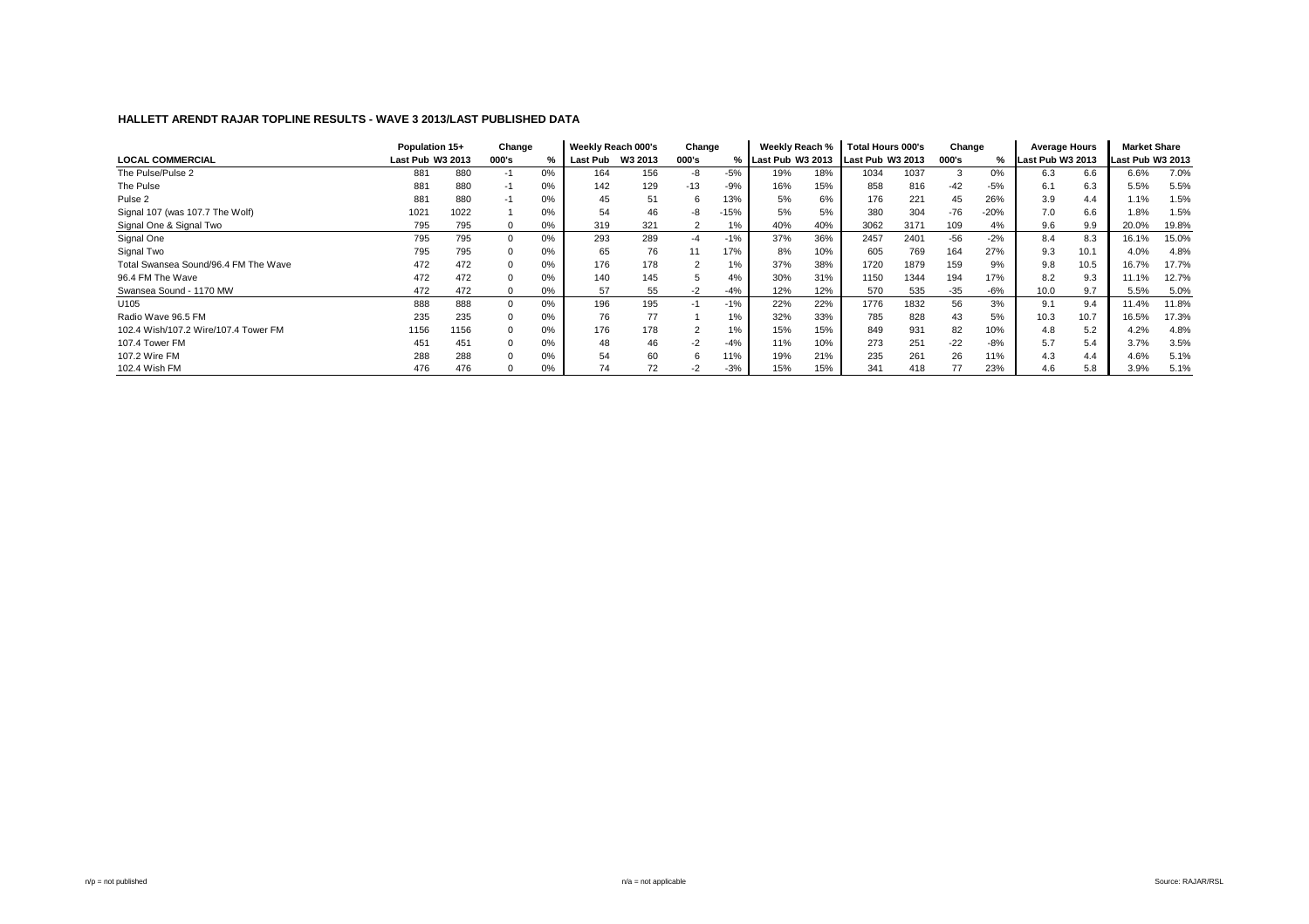|                                      | Population 15+   |      | Change |       | Weekly Reach 000's |         | Change |        | Weekly Reach %     |     | <b>Total Hours 000's</b> |      | Change |        | Average Hours    |      | <b>Market Share</b> |       |
|--------------------------------------|------------------|------|--------|-------|--------------------|---------|--------|--------|--------------------|-----|--------------------------|------|--------|--------|------------------|------|---------------------|-------|
| <b>LOCAL COMMERCIAL</b>              | Last Pub W3 2013 |      | 000's  | %     | Last Pub           | W3 2013 | 000's  |        | % Last Pub W3 2013 |     | Last Pub W3 2013         |      | 000's  | %      | Last Pub W3 2013 |      | Last Pub W3 2013    |       |
| The Pulse/Pulse 2                    | 881              | 880  | -1     | 0%    | 164                | 156     | -8     | $-5%$  | 19%                | 18% | 1034                     | 1037 | 3      | 0%     | 6.3              | 6.6  | 6.6%                | 7.0%  |
| The Pulse                            | 881              | 880  | -1     | 0%    | 142                | 129     | $-13$  | $-9%$  | 16%                | 15% | 858                      | 816  | $-42$  | $-5%$  | 6.1              | 6.3  | 5.5%                | 5.5%  |
| Pulse 2                              | 881              | 880  | -1     | 0%    | 45                 | 51      | 6      | 13%    | 5%                 | 6%  | 176                      | 221  | 45     | 26%    | 3.9              | 4.4  | 1.1%                | 1.5%  |
| Signal 107 (was 107.7 The Wolf)      | 102 <sup>7</sup> | 1022 |        | 0%    | 54                 | 46      | -8     | $-15%$ | 5%                 | 5%  | 380                      | 304  | $-76$  | $-20%$ | 7.0              | 6.6  | 1.8%                | 1.5%  |
| Signal One & Signal Two              | 795              | 795  |        | 0%    | 319                | 321     |        | 1%     | 40%                | 40% | 3062                     | 3171 | 109    | 4%     | 9.6              | 9.9  | 20.0%               | 19.8% |
| Signal One                           | 795              | 795  |        | 0%    | 293                | 289     | $-4$   | $-1%$  | 37%                | 36% | 2457                     | 2401 | $-56$  | $-2%$  | 8.4              | 8.3  | 16.1%               | 15.0% |
| Signal Two                           | 795              | 795  |        | 0%    | 65                 | 76      | 11     | 17%    | 8%                 | 10% | 605                      | 769  | 164    | 27%    | 9.3              | 10.1 | 4.0%                | 4.8%  |
| Total Swansea Sound/96.4 FM The Wave | 472              | 472  |        | 0%    | 176                | 178     |        | 1%     | 37%                | 38% | 1720                     | 1879 | 159    | 9%     | 9.8              | 10.5 | 16.7%               | 17.7% |
| 96.4 FM The Wave                     | 472              | 472  |        | 0%    | 140                | 145     |        | 4%     | 30%                | 31% | 1150                     | 1344 | 194    | 17%    | 8.2              | 9.3  | 11.1%               | 12.7% |
| Swansea Sound - 1170 MW              | 472              | 472  |        | $0\%$ | 57                 | 55      | $-2$   | $-4%$  | 12%                | 12% | 570                      | 535  | $-35$  | -6%    | 10.0             | 9.7  | 5.5%                | 5.0%  |
| U <sub>105</sub>                     | 888              | 888  |        | 0%    | 196                | 195     | $-1$   | $-1%$  | 22%                | 22% | 1776                     | 1832 | 56     | 3%     | 9.1              | 9.4  | 11.4%               | 11.8% |
| Radio Wave 96.5 FM                   | 235              | 235  |        | 0%    | 76                 | 77      |        | 1%     | 32%                | 33% | 785                      | 828  | 43     | 5%     | 10.3             | 10.7 | 16.5%               | 17.3% |
| 102.4 Wish/107.2 Wire/107.4 Tower FM | 1156             | 1156 |        | 0%    | 176                | 178     |        | 1%     | 15%                | 15% | 849                      | 931  | 82     | 10%    | 4.8              | 5.2  | 4.2%                | 4.8%  |
| 107.4 Tower FM                       | 451              | 451  |        | 0%    | 48                 | 46      | $-2$   | $-4%$  | 11%                | 10% | 273                      | 251  | $-22$  | -8%    | 5.7              | 5.4  | 3.7%                | 3.5%  |
| 107.2 Wire FM                        | 288              | 288  |        | 0%    | 54                 | 60      | 6      | 11%    | 19%                | 21% | 235                      | 261  | 26     | 11%    | 4.3              | 4.4  | 4.6%                | 5.1%  |
| 102.4 Wish FM                        | 476              | 476  |        | 0%    | 74                 | 72      | $-2$   | $-3%$  | 15%                | 15% | 341                      | 418  | 77     | 23%    | 4.6              | 5.8  | 3.9%                | 5.1%  |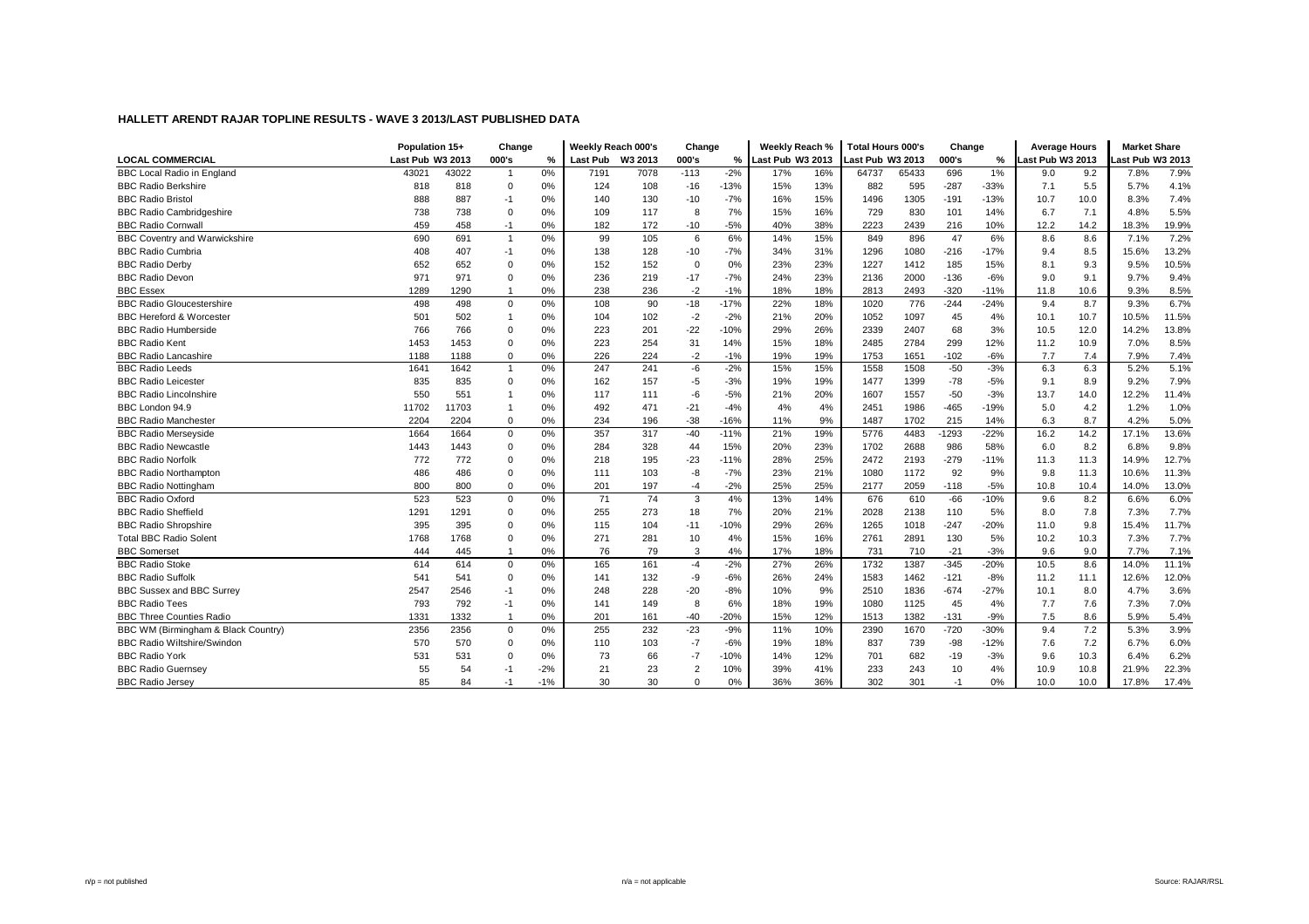|                                      | Population 15+   |       | Change         |               |                 | Weekly Reach 000's | Change         |        | Weekly Reach %   |     | <b>Total Hours 000's</b> |       | Change  |        | <b>Average Hours</b> |      | <b>Market Share</b> |       |
|--------------------------------------|------------------|-------|----------------|---------------|-----------------|--------------------|----------------|--------|------------------|-----|--------------------------|-------|---------|--------|----------------------|------|---------------------|-------|
| <b>LOCAL COMMERCIAL</b>              | Last Pub W3 2013 |       | 000's          | $\frac{0}{2}$ | <b>Last Pub</b> | W3 2013            | 000's          | %      | Last Pub W3 2013 |     | Last Pub W3 2013         |       | 000's   | %      | ast Pub W3 2013      |      | Last Pub W3 2013    |       |
| <b>BBC Local Radio in England</b>    | 43021            | 43022 | $\overline{1}$ | 0%            | 7191            | 7078               | $-113$         | $-2%$  | 17%              | 16% | 64737                    | 65433 | 696     | 1%     | 9.0                  | 9.2  | 7.8%                | 7.9%  |
| <b>BBC Radio Berkshire</b>           | 818              | 818   | $\mathbf 0$    | 0%            | 124             | 108                | $-16$          | $-13%$ | 15%              | 13% | 882                      | 595   | $-287$  | $-33%$ | 7.1                  | 5.5  | 5.7%                | 4.1%  |
| <b>BBC Radio Bristol</b>             | 888              | 887   | $-1$           | 0%            | 140             | 130                | $-10$          | $-7%$  | 16%              | 15% | 1496                     | 1305  | $-191$  | $-13%$ | 10.7                 | 10.0 | 8.3%                | 7.4%  |
| <b>BBC Radio Cambridgeshire</b>      | 738              | 738   | $\Omega$       | 0%            | 109             | 117                | 8              | 7%     | 15%              | 16% | 729                      | 830   | 101     | 14%    | 6.7                  | 7.1  | 4.8%                | 5.5%  |
| <b>BBC Radio Cornwall</b>            | 459              | 458   | $-1$           | 0%            | 182             | 172                | $-10$          | $-5%$  | 40%              | 38% | 2223                     | 2439  | 216     | 10%    | 12.2                 | 14.2 | 18.3%               | 19.9% |
| <b>BBC Coventry and Warwickshire</b> | 690              | 691   | $\overline{1}$ | 0%            | 99              | 105                | 6              | 6%     | 14%              | 15% | 849                      | 896   | 47      | 6%     | 8.6                  | 8.6  | 7.1%                | 7.2%  |
| <b>BBC Radio Cumbria</b>             | 408              | 407   | $-1$           | 0%            | 138             | 128                | $-10$          | $-7%$  | 34%              | 31% | 1296                     | 1080  | $-216$  | $-17%$ | 9.4                  | 8.5  | 15.6%               | 13.2% |
| <b>BBC Radio Derby</b>               | 652              | 652   | $\Omega$       | 0%            | 152             | 152                | $\Omega$       | 0%     | 23%              | 23% | 1227                     | 1412  | 185     | 15%    | 8.1                  | 9.3  | 9.5%                | 10.5% |
| <b>BBC Radio Devon</b>               | 971              | 971   | $\Omega$       | 0%            | 236             | 219                | $-17$          | $-7%$  | 24%              | 23% | 2136                     | 2000  | $-136$  | $-6%$  | 9.0                  | 9.1  | 9.7%                | 9.4%  |
| <b>BBC Essex</b>                     | 1289             | 1290  | $\overline{1}$ | 0%            | 238             | 236                | $-2$           | $-1%$  | 18%              | 18% | 2813                     | 2493  | $-320$  | $-11%$ | 11.8                 | 10.6 | 9.3%                | 8.5%  |
| <b>BBC Radio Gloucestershire</b>     | 498              | 498   | $\mathbf 0$    | 0%            | 108             | 90                 | $-18$          | $-17%$ | 22%              | 18% | 1020                     | 776   | $-244$  | $-24%$ | 9.4                  | 8.7  | 9.3%                | 6.7%  |
| <b>BBC Hereford &amp; Worcester</b>  | 501              | 502   | $\overline{1}$ | 0%            | 104             | 102                | $-2$           | $-2%$  | 21%              | 20% | 1052                     | 1097  | 45      | 4%     | 10.1                 | 10.7 | 10.5%               | 11.5% |
| <b>BBC Radio Humberside</b>          | 766              | 766   | $\Omega$       | 0%            | 223             | 201                | $-22$          | $-10%$ | 29%              | 26% | 2339                     | 2407  | 68      | 3%     | 10.5                 | 12.0 | 14.2%               | 13.8% |
| <b>BBC Radio Kent</b>                | 1453             | 1453  | $\Omega$       | 0%            | 223             | 254                | 31             | 14%    | 15%              | 18% | 2485                     | 2784  | 299     | 12%    | 11.2                 | 10.9 | 7.0%                | 8.5%  |
| <b>BBC Radio Lancashire</b>          | 1188             | 1188  | $\mathbf 0$    | 0%            | 226             | 224                | $-2$           | $-1%$  | 19%              | 19% | 1753                     | 1651  | $-102$  | $-6%$  | 7.7                  | 7.4  | 7.9%                | 7.4%  |
| <b>BBC Radio Leeds</b>               | 1641             | 1642  | $\overline{1}$ | 0%            | 247             | 241                | $-6$           | $-2%$  | 15%              | 15% | 1558                     | 1508  | $-50$   | $-3%$  | 6.3                  | 6.3  | 5.2%                | 5.1%  |
| <b>BBC Radio Leicester</b>           | 835              | 835   | $\Omega$       | 0%            | 162             | 157                | $-5$           | $-3%$  | 19%              | 19% | 1477                     | 1399  | $-78$   | $-5%$  | 9.1                  | 8.9  | 9.2%                | 7.9%  |
| <b>BBC Radio Lincolnshire</b>        | 550              | 551   |                | 0%            | 117             | 111                | -6             | $-5%$  | 21%              | 20% | 1607                     | 1557  | $-50$   | $-3%$  | 13.7                 | 14.0 | 12.2%               | 11.4% |
| BBC London 94.9                      | 11702            | 11703 |                | 0%            | 492             | 471                | $-21$          | $-4%$  | 4%               | 4%  | 2451                     | 1986  | $-465$  | $-19%$ | 5.0                  | 4.2  | 1.2%                | 1.0%  |
| <b>BBC Radio Manchester</b>          | 2204             | 2204  | $\mathbf 0$    | 0%            | 234             | 196                | $-38$          | $-16%$ | 11%              | 9%  | 1487                     | 1702  | 215     | 14%    | 6.3                  | 8.7  | 4.2%                | 5.0%  |
| <b>BBC Radio Merseyside</b>          | 1664             | 1664  | $\mathbf 0$    | 0%            | 357             | 317                | $-40$          | $-11%$ | 21%              | 19% | 5776                     | 4483  | $-1293$ | $-22%$ | 16.2                 | 14.2 | 17.1%               | 13.6% |
| <b>BBC Radio Newcastle</b>           | 1443             | 1443  | $\mathbf 0$    | 0%            | 284             | 328                | 44             | 15%    | 20%              | 23% | 1702                     | 2688  | 986     | 58%    | 6.0                  | 8.2  | 6.8%                | 9.8%  |
| <b>BBC Radio Norfolk</b>             | 772              | 772   | $\Omega$       | 0%            | 218             | 195                | $-23$          | $-11%$ | 28%              | 25% | 2472                     | 2193  | $-279$  | $-11%$ | 11.3                 | 11.3 | 14.9%               | 12.7% |
| <b>BBC Radio Northampton</b>         | 486              | 486   | $\mathbf 0$    | 0%            | 111             | 103                | -8             | $-7%$  | 23%              | 21% | 1080                     | 1172  | 92      | 9%     | 9.8                  | 11.3 | 10.6%               | 11.3% |
| <b>BBC Radio Nottingham</b>          | 800              | 800   | $\Omega$       | 0%            | 201             | 197                | $-4$           | $-2%$  | 25%              | 25% | 2177                     | 2059  | $-118$  | $-5%$  | 10.8                 | 10.4 | 14.0%               | 13.0% |
| <b>BBC Radio Oxford</b>              | 523              | 523   | $\mathbf 0$    | 0%            | 71              | 74                 | 3              | 4%     | 13%              | 14% | 676                      | 610   | $-66$   | $-10%$ | 9.6                  | 8.2  | 6.6%                | 6.0%  |
| <b>BBC Radio Sheffield</b>           | 1291             | 1291  | $\mathbf 0$    | 0%            | 255             | 273                | 18             | 7%     | 20%              | 21% | 2028                     | 2138  | 110     | 5%     | 8.0                  | 7.8  | 7.3%                | 7.7%  |
| <b>BBC Radio Shropshire</b>          | 395              | 395   | $\Omega$       | 0%            | 115             | 104                | $-11$          | $-10%$ | 29%              | 26% | 1265                     | 1018  | $-247$  | $-20%$ | 11.0                 | 9.8  | 15.4%               | 11.7% |
| <b>Total BBC Radio Solent</b>        | 1768             | 1768  | $\mathbf 0$    | 0%            | 271             | 281                | 10             | 4%     | 15%              | 16% | 2761                     | 2891  | 130     | 5%     | 10.2                 | 10.3 | 7.3%                | 7.7%  |
| <b>BBC</b> Somerset                  | 444              | 445   |                | 0%            | 76              | 79                 | 3              | 4%     | 17%              | 18% | 731                      | 710   | $-21$   | $-3%$  | 9.6                  | 9.0  | 7.7%                | 7.1%  |
| <b>BBC Radio Stoke</b>               | 614              | 614   | $\mathbf 0$    | 0%            | 165             | 161                | $-4$           | $-2%$  | 27%              | 26% | 1732                     | 1387  | $-345$  | $-20%$ | 10.5                 | 8.6  | 14.0%               | 11.1% |
| <b>BBC Radio Suffolk</b>             | 541              | 541   | $\mathbf 0$    | 0%            | 141             | 132                | -9             | $-6%$  | 26%              | 24% | 1583                     | 1462  | $-121$  | $-8%$  | 11.2                 | 11.1 | 12.6%               | 12.0% |
| <b>BBC Sussex and BBC Surrey</b>     | 2547             | 2546  | $-1$           | 0%            | 248             | 228                | $-20$          | $-8%$  | 10%              | 9%  | 2510                     | 1836  | $-674$  | $-27%$ | 10.1                 | 8.0  | 4.7%                | 3.6%  |
| <b>BBC Radio Tees</b>                | 793              | 792   | $-1$           | 0%            | 141             | 149                | 8              | 6%     | 18%              | 19% | 1080                     | 1125  | 45      | 4%     | 7.7                  | 7.6  | 7.3%                | 7.0%  |
| <b>BBC Three Counties Radio</b>      | 1331             | 1332  | $\overline{1}$ | 0%            | 201             | 161                | $-40$          | $-20%$ | 15%              | 12% | 1513                     | 1382  | $-131$  | $-9%$  | 7.5                  | 8.6  | 5.9%                | 5.4%  |
| BBC WM (Birmingham & Black Country)  | 2356             | 2356  | $\mathbf 0$    | 0%            | 255             | 232                | $-23$          | $-9%$  | 11%              | 10% | 2390                     | 1670  | $-720$  | $-30%$ | 9.4                  | 7.2  | 5.3%                | 3.9%  |
| <b>BBC Radio Wiltshire/Swindon</b>   | 570              | 570   | $\mathbf 0$    | 0%            | 110             | 103                | $-7$           | $-6%$  | 19%              | 18% | 837                      | 739   | $-98$   | $-12%$ | 7.6                  | 7.2  | 6.7%                | 6.0%  |
| <b>BBC Radio York</b>                | 531              | 531   | $\Omega$       | 0%            | 73              | 66                 | $-7$           | $-10%$ | 14%              | 12% | 701                      | 682   | $-19$   | $-3%$  | 9.6                  | 10.3 | 6.4%                | 6.2%  |
| <b>BBC Radio Guernsey</b>            | 55               | 54    | -1             | $-2%$         | 21              | 23                 | $\overline{2}$ | 10%    | 39%              | 41% | 233                      | 243   | 10      | 4%     | 10.9                 | 10.8 | 21.9%               | 22.3% |
| <b>BBC Radio Jersey</b>              | 85               | 84    | $-1$           | $-1%$         | 30              | 30                 | $\Omega$       | 0%     | 36%              | 36% | 302                      | 301   | $-1$    | 0%     | 10.0                 | 10.0 | 17.8%               | 17.4% |